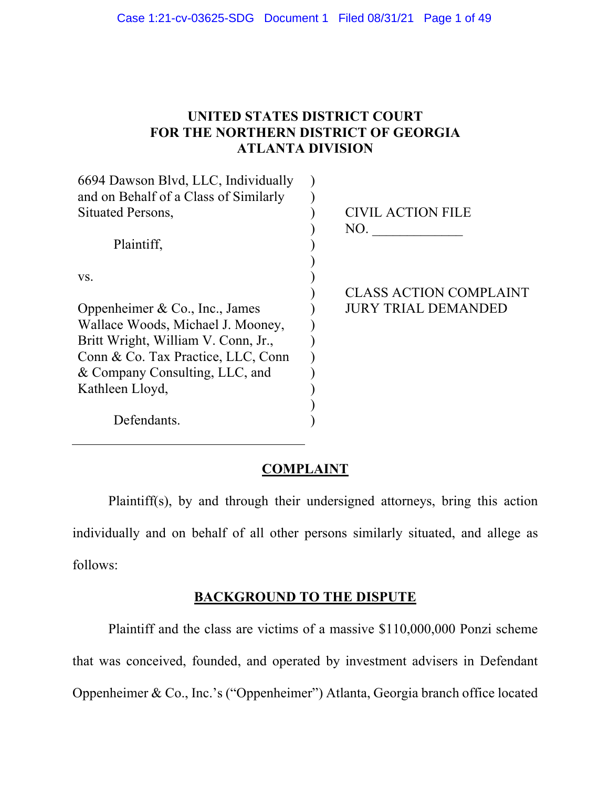## **UNITED STATES DISTRICT COURT FOR THE NORTHERN DISTRICT OF GEORGIA ATLANTA DIVISION**

| 6694 Dawson Blvd, LLC, Individually<br>and on Behalf of a Class of Similarly |                               |
|------------------------------------------------------------------------------|-------------------------------|
| Situated Persons,                                                            | <b>CIVIL ACTION FILE</b>      |
|                                                                              | NO.                           |
| Plaintiff,                                                                   |                               |
| VS.                                                                          |                               |
|                                                                              | <b>CLASS ACTION COMPLAINT</b> |
| Oppenheimer & Co., Inc., James                                               | <b>JURY TRIAL DEMANDED</b>    |
| Wallace Woods, Michael J. Mooney,                                            |                               |
| Britt Wright, William V. Conn, Jr.,                                          |                               |
| Conn & Co. Tax Practice, LLC, Conn                                           |                               |
| & Company Consulting, LLC, and                                               |                               |
| Kathleen Lloyd,                                                              |                               |
|                                                                              |                               |

Defendants.

## **COMPLAINT**

)

Plaintiff(s), by and through their undersigned attorneys, bring this action individually and on behalf of all other persons similarly situated, and allege as follows:

## **BACKGROUND TO THE DISPUTE**

Plaintiff and the class are victims of a massive \$110,000,000 Ponzi scheme that was conceived, founded, and operated by investment advisers in Defendant Oppenheimer & Co., Inc.'s ("Oppenheimer") Atlanta, Georgia branch office located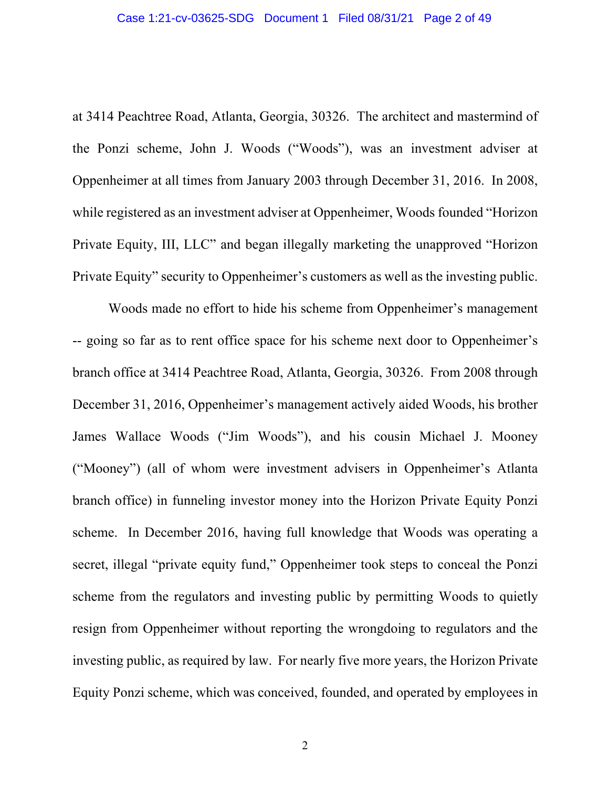at 3414 Peachtree Road, Atlanta, Georgia, 30326. The architect and mastermind of the Ponzi scheme, John J. Woods ("Woods"), was an investment adviser at Oppenheimer at all times from January 2003 through December 31, 2016. In 2008, while registered as an investment adviser at Oppenheimer, Woods founded "Horizon Private Equity, III, LLC" and began illegally marketing the unapproved "Horizon Private Equity" security to Oppenheimer's customers as well as the investing public.

Woods made no effort to hide his scheme from Oppenheimer's management -- going so far as to rent office space for his scheme next door to Oppenheimer's branch office at 3414 Peachtree Road, Atlanta, Georgia, 30326. From 2008 through December 31, 2016, Oppenheimer's management actively aided Woods, his brother James Wallace Woods ("Jim Woods"), and his cousin Michael J. Mooney ("Mooney") (all of whom were investment advisers in Oppenheimer's Atlanta branch office) in funneling investor money into the Horizon Private Equity Ponzi scheme. In December 2016, having full knowledge that Woods was operating a secret, illegal "private equity fund," Oppenheimer took steps to conceal the Ponzi scheme from the regulators and investing public by permitting Woods to quietly resign from Oppenheimer without reporting the wrongdoing to regulators and the investing public, as required by law. For nearly five more years, the Horizon Private Equity Ponzi scheme, which was conceived, founded, and operated by employees in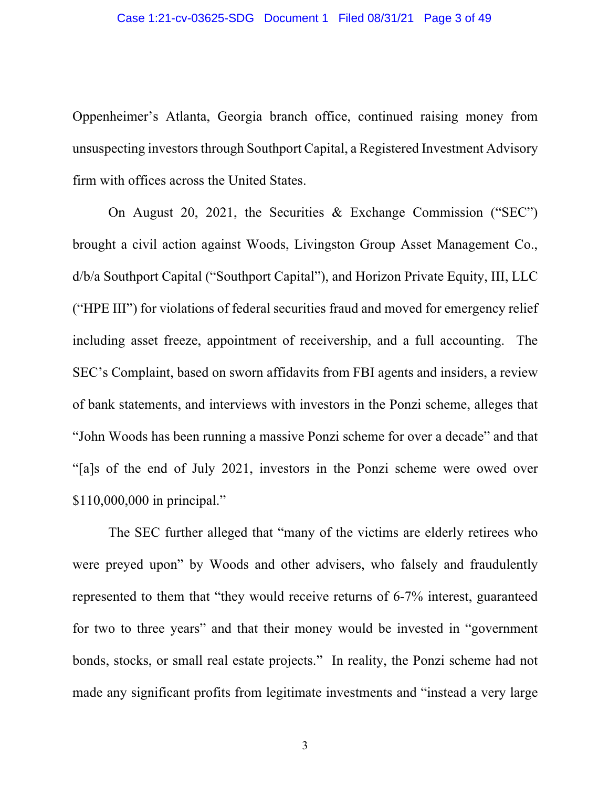Oppenheimer's Atlanta, Georgia branch office, continued raising money from unsuspecting investors through Southport Capital, a Registered Investment Advisory firm with offices across the United States.

On August 20, 2021, the Securities & Exchange Commission ("SEC") brought a civil action against Woods, Livingston Group Asset Management Co., d/b/a Southport Capital ("Southport Capital"), and Horizon Private Equity, III, LLC ("HPE III") for violations of federal securities fraud and moved for emergency relief including asset freeze, appointment of receivership, and a full accounting. The SEC's Complaint, based on sworn affidavits from FBI agents and insiders, a review of bank statements, and interviews with investors in the Ponzi scheme, alleges that "John Woods has been running a massive Ponzi scheme for over a decade" and that "[a]s of the end of July 2021, investors in the Ponzi scheme were owed over \$110,000,000 in principal."

The SEC further alleged that "many of the victims are elderly retirees who were preyed upon" by Woods and other advisers, who falsely and fraudulently represented to them that "they would receive returns of 6-7% interest, guaranteed for two to three years" and that their money would be invested in "government bonds, stocks, or small real estate projects." In reality, the Ponzi scheme had not made any significant profits from legitimate investments and "instead a very large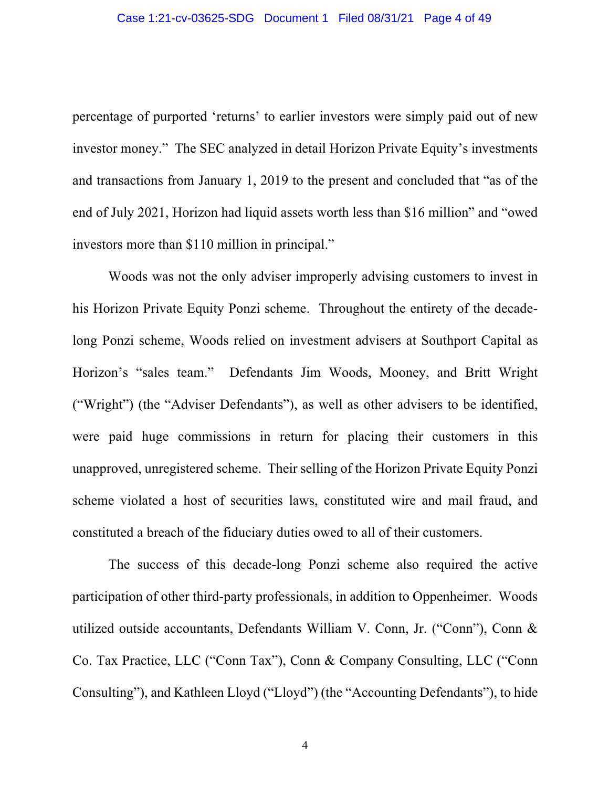percentage of purported 'returns' to earlier investors were simply paid out of new investor money." The SEC analyzed in detail Horizon Private Equity's investments and transactions from January 1, 2019 to the present and concluded that "as of the end of July 2021, Horizon had liquid assets worth less than \$16 million" and "owed investors more than \$110 million in principal."

Woods was not the only adviser improperly advising customers to invest in his Horizon Private Equity Ponzi scheme. Throughout the entirety of the decadelong Ponzi scheme, Woods relied on investment advisers at Southport Capital as Horizon's "sales team." Defendants Jim Woods, Mooney, and Britt Wright ("Wright") (the "Adviser Defendants"), as well as other advisers to be identified, were paid huge commissions in return for placing their customers in this unapproved, unregistered scheme. Their selling of the Horizon Private Equity Ponzi scheme violated a host of securities laws, constituted wire and mail fraud, and constituted a breach of the fiduciary duties owed to all of their customers.

The success of this decade-long Ponzi scheme also required the active participation of other third-party professionals, in addition to Oppenheimer. Woods utilized outside accountants, Defendants William V. Conn, Jr. ("Conn"), Conn & Co. Tax Practice, LLC ("Conn Tax"), Conn & Company Consulting, LLC ("Conn Consulting"), and Kathleen Lloyd ("Lloyd") (the "Accounting Defendants"), to hide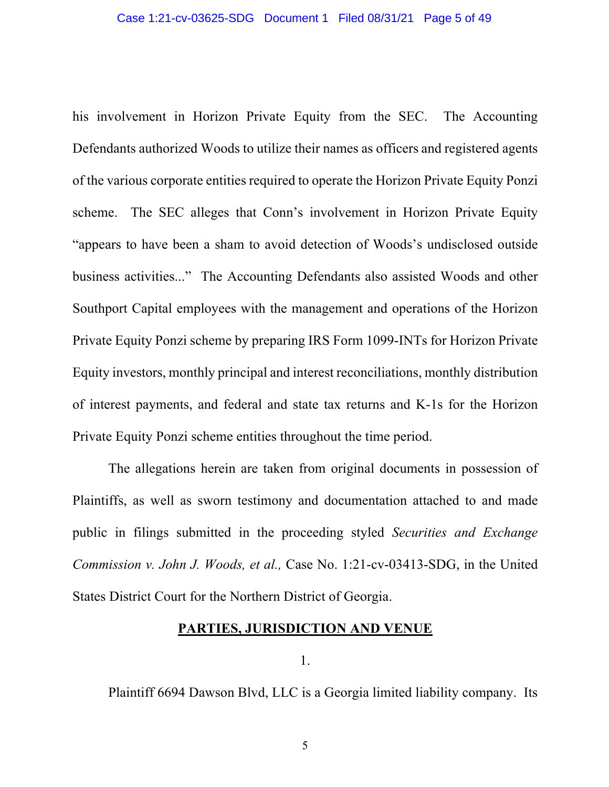his involvement in Horizon Private Equity from the SEC. The Accounting Defendants authorized Woods to utilize their names as officers and registered agents of the various corporate entities required to operate the Horizon Private Equity Ponzi scheme. The SEC alleges that Conn's involvement in Horizon Private Equity "appears to have been a sham to avoid detection of Woods's undisclosed outside business activities..." The Accounting Defendants also assisted Woods and other Southport Capital employees with the management and operations of the Horizon Private Equity Ponzi scheme by preparing IRS Form 1099-INTs for Horizon Private Equity investors, monthly principal and interest reconciliations, monthly distribution of interest payments, and federal and state tax returns and K-1s for the Horizon Private Equity Ponzi scheme entities throughout the time period.

The allegations herein are taken from original documents in possession of Plaintiffs, as well as sworn testimony and documentation attached to and made public in filings submitted in the proceeding styled *Securities and Exchange Commission v. John J. Woods, et al.,* Case No. 1:21-cv-03413-SDG, in the United States District Court for the Northern District of Georgia.

## **PARTIES, JURISDICTION AND VENUE**

1.

Plaintiff 6694 Dawson Blvd, LLC is a Georgia limited liability company. Its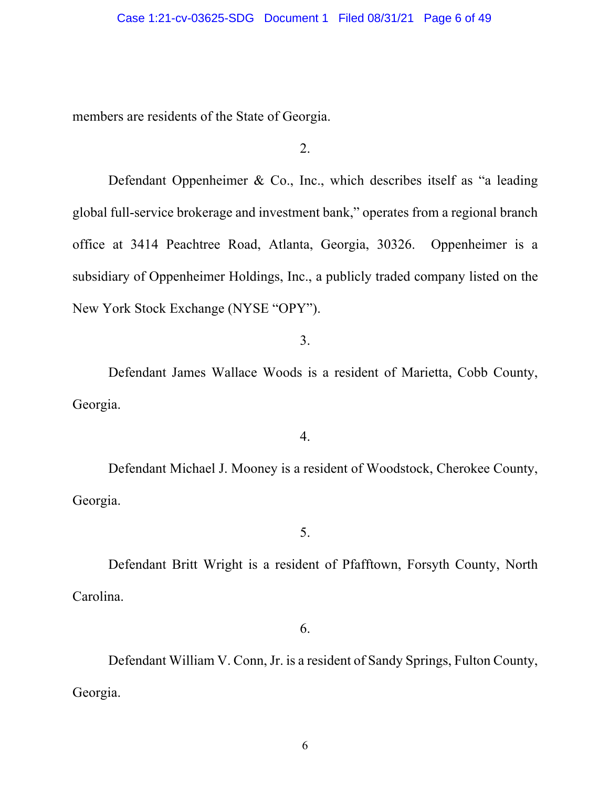members are residents of the State of Georgia.

2.

Defendant Oppenheimer & Co., Inc., which describes itself as "a leading global full-service brokerage and investment bank," operates from a regional branch office at 3414 Peachtree Road, Atlanta, Georgia, 30326. Oppenheimer is a subsidiary of Oppenheimer Holdings, Inc., a publicly traded company listed on the New York Stock Exchange (NYSE "OPY").

## 3.

Defendant James Wallace Woods is a resident of Marietta, Cobb County, Georgia.

#### 4.

Defendant Michael J. Mooney is a resident of Woodstock, Cherokee County, Georgia.

5.

Defendant Britt Wright is a resident of Pfafftown, Forsyth County, North Carolina.

6.

Defendant William V. Conn, Jr. is a resident of Sandy Springs, Fulton County, Georgia.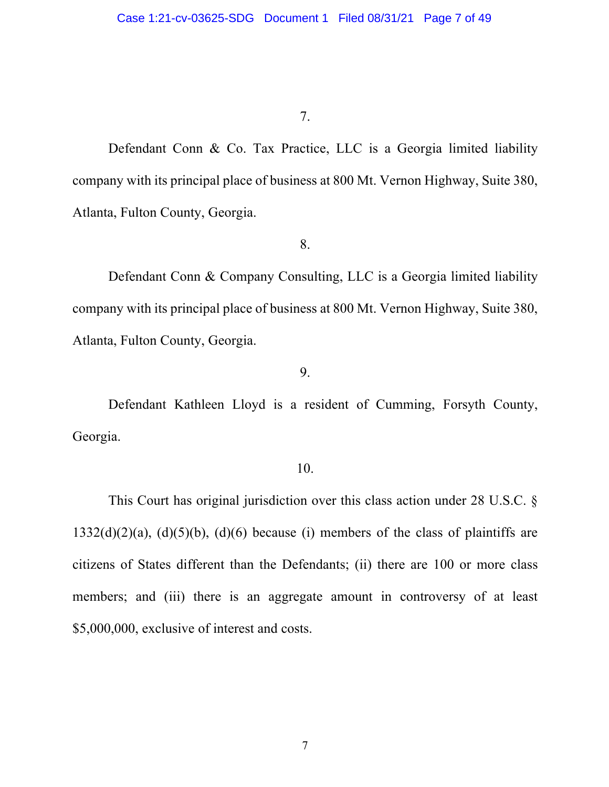Defendant Conn & Co. Tax Practice, LLC is a Georgia limited liability company with its principal place of business at 800 Mt. Vernon Highway, Suite 380, Atlanta, Fulton County, Georgia.

## 8.

Defendant Conn & Company Consulting, LLC is a Georgia limited liability company with its principal place of business at 800 Mt. Vernon Highway, Suite 380, Atlanta, Fulton County, Georgia.

#### 9.

Defendant Kathleen Lloyd is a resident of Cumming, Forsyth County, Georgia.

## 10.

This Court has original jurisdiction over this class action under 28 U.S.C. §  $1332(d)(2)(a)$ ,  $(d)(5)(b)$ ,  $(d)(6)$  because (i) members of the class of plaintiffs are citizens of States different than the Defendants; (ii) there are 100 or more class members; and (iii) there is an aggregate amount in controversy of at least \$5,000,000, exclusive of interest and costs.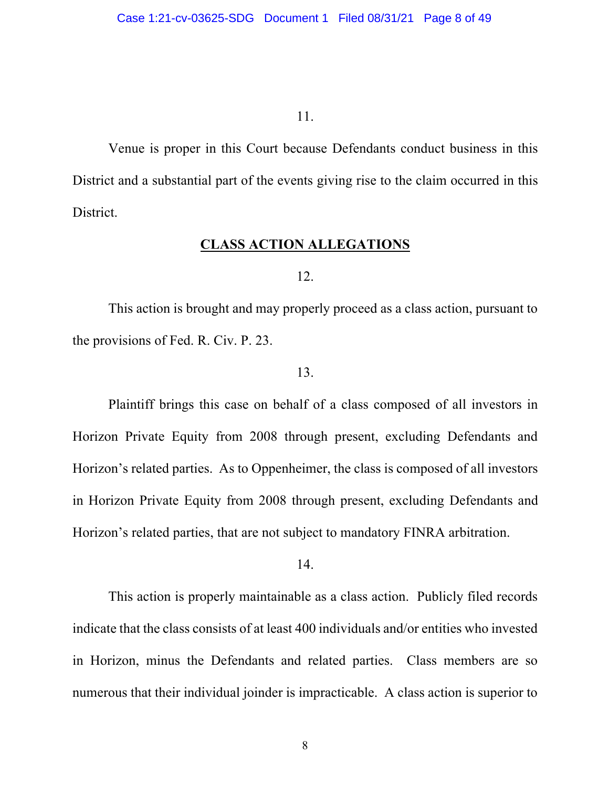Venue is proper in this Court because Defendants conduct business in this District and a substantial part of the events giving rise to the claim occurred in this District.

## **CLASS ACTION ALLEGATIONS**

#### 12.

This action is brought and may properly proceed as a class action, pursuant to the provisions of Fed. R. Civ. P. 23.

#### 13.

Plaintiff brings this case on behalf of a class composed of all investors in Horizon Private Equity from 2008 through present, excluding Defendants and Horizon's related parties. As to Oppenheimer, the class is composed of all investors in Horizon Private Equity from 2008 through present, excluding Defendants and Horizon's related parties, that are not subject to mandatory FINRA arbitration.

#### 14.

This action is properly maintainable as a class action. Publicly filed records indicate that the class consists of at least 400 individuals and/or entities who invested in Horizon, minus the Defendants and related parties. Class members are so numerous that their individual joinder is impracticable. A class action is superior to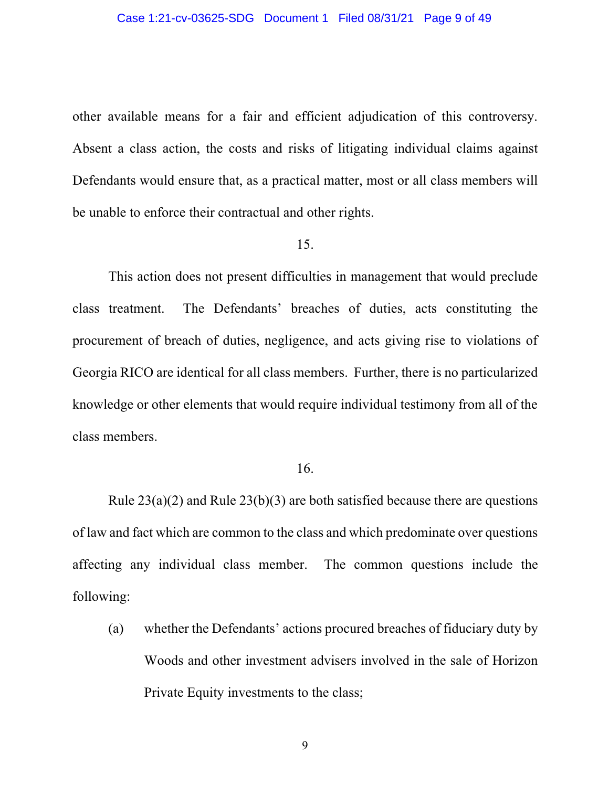other available means for a fair and efficient adjudication of this controversy. Absent a class action, the costs and risks of litigating individual claims against Defendants would ensure that, as a practical matter, most or all class members will be unable to enforce their contractual and other rights.

#### 15.

This action does not present difficulties in management that would preclude class treatment. The Defendants' breaches of duties, acts constituting the procurement of breach of duties, negligence, and acts giving rise to violations of Georgia RICO are identical for all class members. Further, there is no particularized knowledge or other elements that would require individual testimony from all of the class members.

#### 16.

Rule  $23(a)(2)$  and Rule  $23(b)(3)$  are both satisfied because there are questions of law and fact which are common to the class and which predominate over questions affecting any individual class member. The common questions include the following:

(a) whether the Defendants' actions procured breaches of fiduciary duty by Woods and other investment advisers involved in the sale of Horizon Private Equity investments to the class;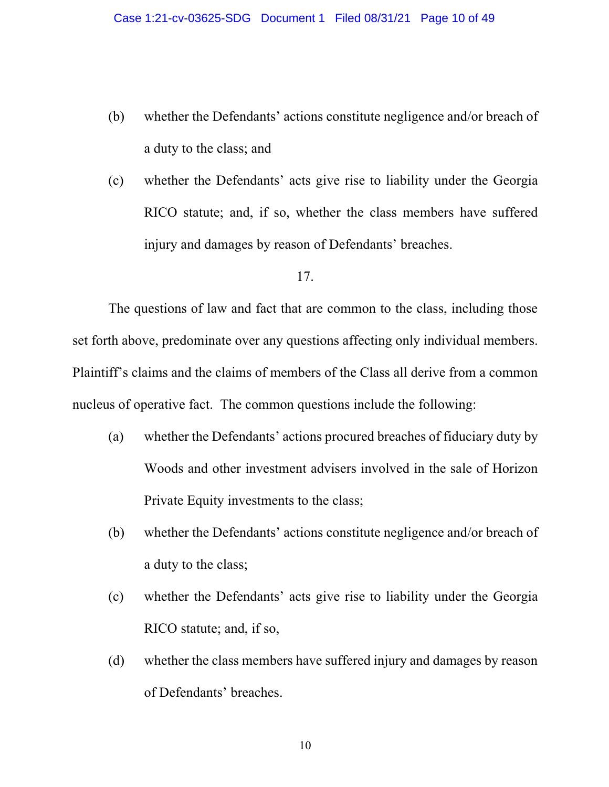- (b) whether the Defendants' actions constitute negligence and/or breach of a duty to the class; and
- (c) whether the Defendants' acts give rise to liability under the Georgia RICO statute; and, if so, whether the class members have suffered injury and damages by reason of Defendants' breaches.

The questions of law and fact that are common to the class, including those set forth above, predominate over any questions affecting only individual members. Plaintiff's claims and the claims of members of the Class all derive from a common nucleus of operative fact. The common questions include the following:

- (a) whether the Defendants' actions procured breaches of fiduciary duty by Woods and other investment advisers involved in the sale of Horizon Private Equity investments to the class;
- (b) whether the Defendants' actions constitute negligence and/or breach of a duty to the class;
- (c) whether the Defendants' acts give rise to liability under the Georgia RICO statute; and, if so,
- (d) whether the class members have suffered injury and damages by reason of Defendants' breaches.

<sup>17.</sup>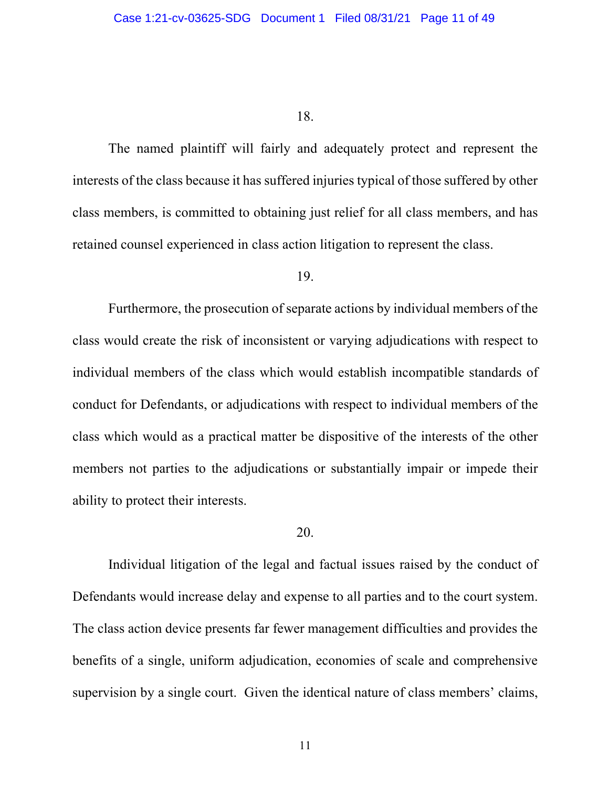The named plaintiff will fairly and adequately protect and represent the interests of the class because it has suffered injuries typical of those suffered by other class members, is committed to obtaining just relief for all class members, and has retained counsel experienced in class action litigation to represent the class.

#### 19.

Furthermore, the prosecution of separate actions by individual members of the class would create the risk of inconsistent or varying adjudications with respect to individual members of the class which would establish incompatible standards of conduct for Defendants, or adjudications with respect to individual members of the class which would as a practical matter be dispositive of the interests of the other members not parties to the adjudications or substantially impair or impede their ability to protect their interests.

#### 20.

Individual litigation of the legal and factual issues raised by the conduct of Defendants would increase delay and expense to all parties and to the court system. The class action device presents far fewer management difficulties and provides the benefits of a single, uniform adjudication, economies of scale and comprehensive supervision by a single court. Given the identical nature of class members' claims,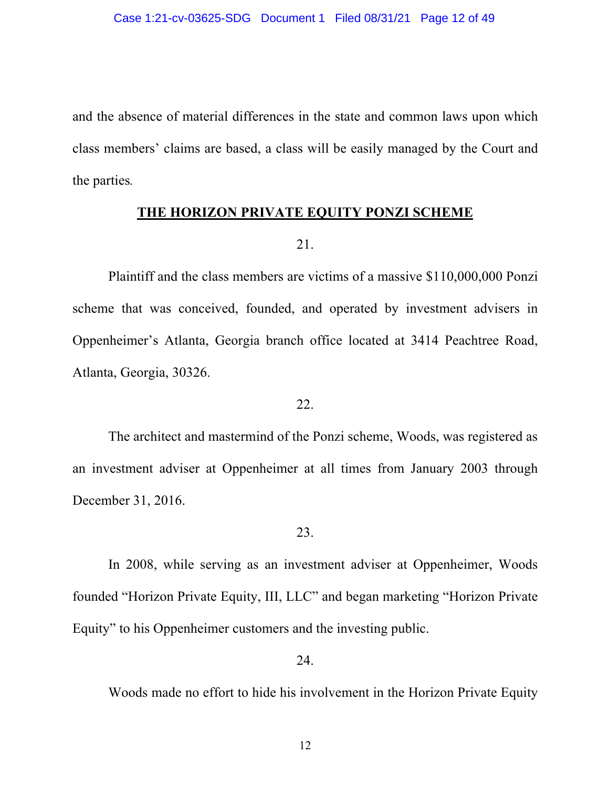and the absence of material differences in the state and common laws upon which class members' claims are based, a class will be easily managed by the Court and the parties*.*

#### **THE HORIZON PRIVATE EQUITY PONZI SCHEME**

#### 21.

Plaintiff and the class members are victims of a massive \$110,000,000 Ponzi scheme that was conceived, founded, and operated by investment advisers in Oppenheimer's Atlanta, Georgia branch office located at 3414 Peachtree Road, Atlanta, Georgia, 30326.

#### 22.

The architect and mastermind of the Ponzi scheme, Woods, was registered as an investment adviser at Oppenheimer at all times from January 2003 through December 31, 2016.

#### 23.

In 2008, while serving as an investment adviser at Oppenheimer, Woods founded "Horizon Private Equity, III, LLC" and began marketing "Horizon Private Equity" to his Oppenheimer customers and the investing public.

#### 24.

Woods made no effort to hide his involvement in the Horizon Private Equity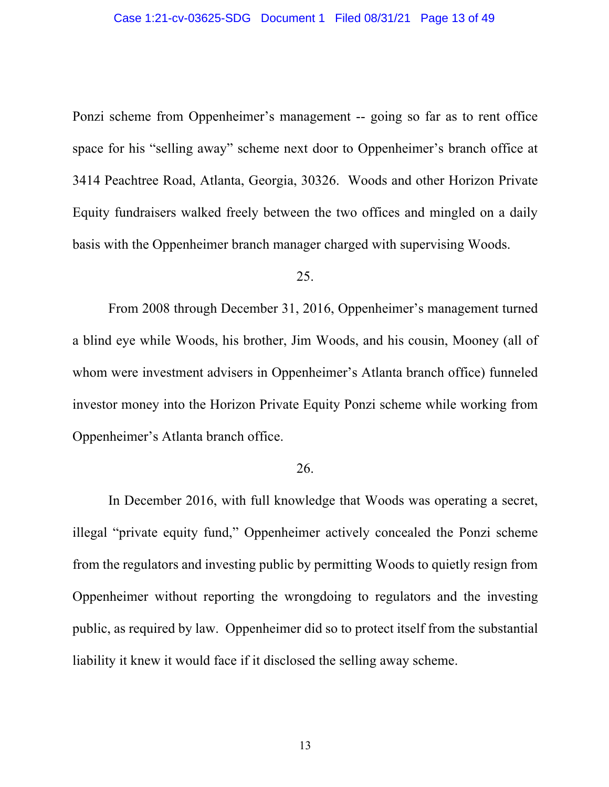Ponzi scheme from Oppenheimer's management -- going so far as to rent office space for his "selling away" scheme next door to Oppenheimer's branch office at 3414 Peachtree Road, Atlanta, Georgia, 30326. Woods and other Horizon Private Equity fundraisers walked freely between the two offices and mingled on a daily basis with the Oppenheimer branch manager charged with supervising Woods.

#### 25.

From 2008 through December 31, 2016, Oppenheimer's management turned a blind eye while Woods, his brother, Jim Woods, and his cousin, Mooney (all of whom were investment advisers in Oppenheimer's Atlanta branch office) funneled investor money into the Horizon Private Equity Ponzi scheme while working from Oppenheimer's Atlanta branch office.

#### 26.

In December 2016, with full knowledge that Woods was operating a secret, illegal "private equity fund," Oppenheimer actively concealed the Ponzi scheme from the regulators and investing public by permitting Woods to quietly resign from Oppenheimer without reporting the wrongdoing to regulators and the investing public, as required by law. Oppenheimer did so to protect itself from the substantial liability it knew it would face if it disclosed the selling away scheme.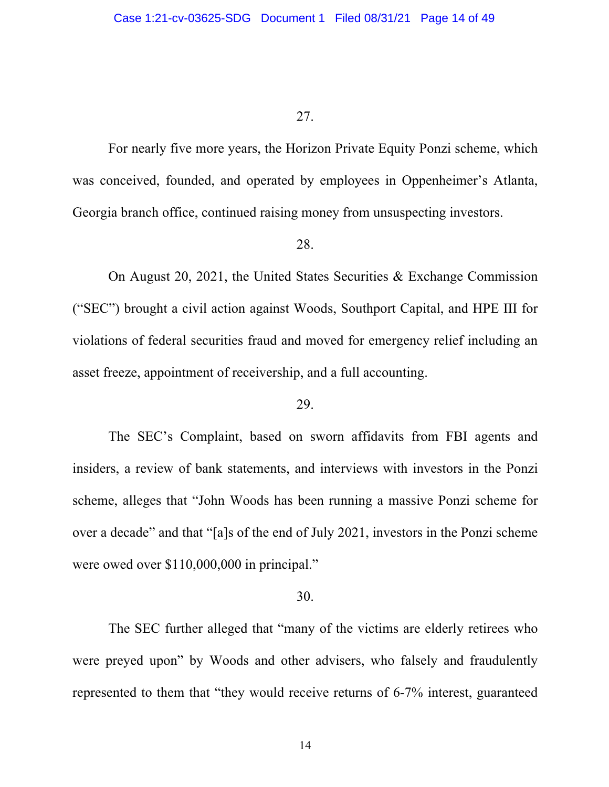For nearly five more years, the Horizon Private Equity Ponzi scheme, which was conceived, founded, and operated by employees in Oppenheimer's Atlanta, Georgia branch office, continued raising money from unsuspecting investors.

#### 28.

On August 20, 2021, the United States Securities & Exchange Commission ("SEC") brought a civil action against Woods, Southport Capital, and HPE III for violations of federal securities fraud and moved for emergency relief including an asset freeze, appointment of receivership, and a full accounting.

#### 29.

The SEC's Complaint, based on sworn affidavits from FBI agents and insiders, a review of bank statements, and interviews with investors in the Ponzi scheme, alleges that "John Woods has been running a massive Ponzi scheme for over a decade" and that "[a]s of the end of July 2021, investors in the Ponzi scheme were owed over \$110,000,000 in principal."

#### 30.

The SEC further alleged that "many of the victims are elderly retirees who were preyed upon" by Woods and other advisers, who falsely and fraudulently represented to them that "they would receive returns of 6-7% interest, guaranteed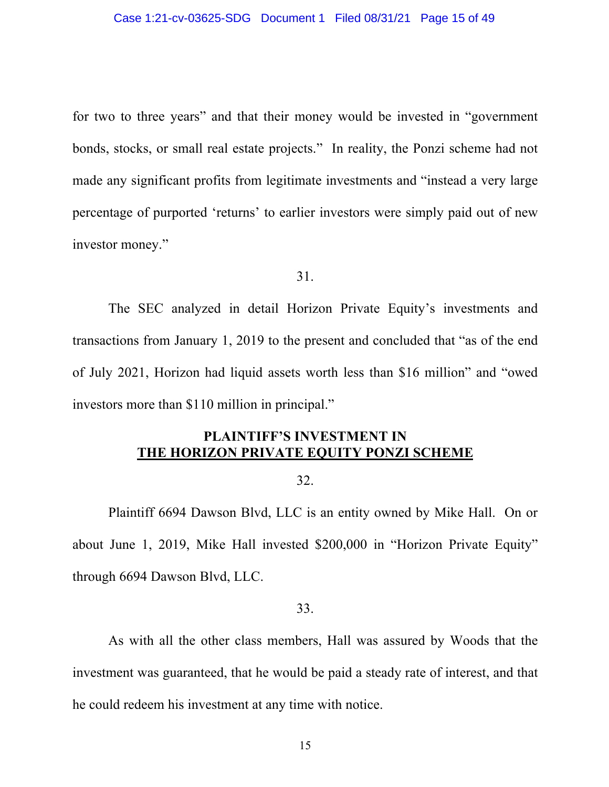for two to three years" and that their money would be invested in "government bonds, stocks, or small real estate projects." In reality, the Ponzi scheme had not made any significant profits from legitimate investments and "instead a very large percentage of purported 'returns' to earlier investors were simply paid out of new investor money."

#### 31.

The SEC analyzed in detail Horizon Private Equity's investments and transactions from January 1, 2019 to the present and concluded that "as of the end of July 2021, Horizon had liquid assets worth less than \$16 million" and "owed investors more than \$110 million in principal."

## **PLAINTIFF'S INVESTMENT IN THE HORIZON PRIVATE EQUITY PONZI SCHEME**

#### 32.

Plaintiff 6694 Dawson Blvd, LLC is an entity owned by Mike Hall. On or about June 1, 2019, Mike Hall invested \$200,000 in "Horizon Private Equity" through 6694 Dawson Blvd, LLC.

#### 33.

As with all the other class members, Hall was assured by Woods that the investment was guaranteed, that he would be paid a steady rate of interest, and that he could redeem his investment at any time with notice.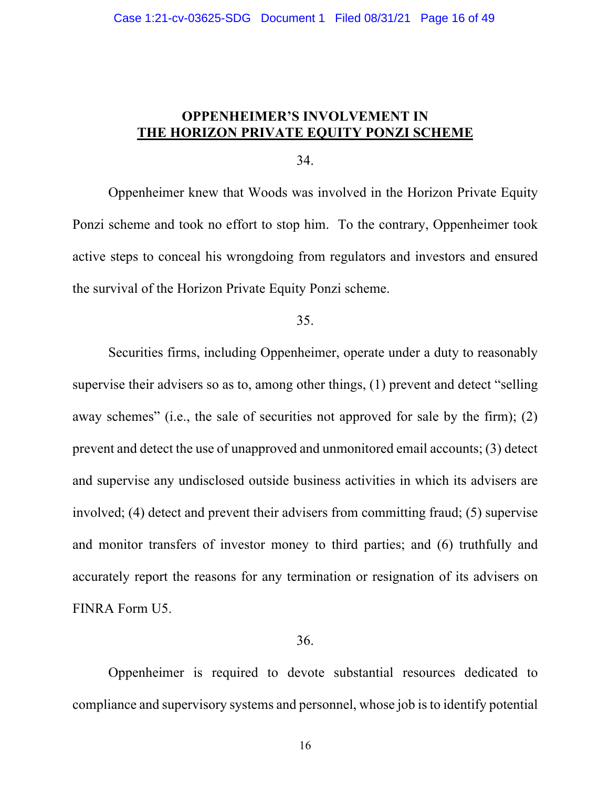## **OPPENHEIMER'S INVOLVEMENT IN THE HORIZON PRIVATE EQUITY PONZI SCHEME**

34.

Oppenheimer knew that Woods was involved in the Horizon Private Equity Ponzi scheme and took no effort to stop him. To the contrary, Oppenheimer took active steps to conceal his wrongdoing from regulators and investors and ensured the survival of the Horizon Private Equity Ponzi scheme.

35.

Securities firms, including Oppenheimer, operate under a duty to reasonably supervise their advisers so as to, among other things, (1) prevent and detect "selling away schemes" (i.e., the sale of securities not approved for sale by the firm); (2) prevent and detect the use of unapproved and unmonitored email accounts; (3) detect and supervise any undisclosed outside business activities in which its advisers are involved; (4) detect and prevent their advisers from committing fraud; (5) supervise and monitor transfers of investor money to third parties; and (6) truthfully and accurately report the reasons for any termination or resignation of its advisers on FINRA Form U5.

#### 36.

Oppenheimer is required to devote substantial resources dedicated to compliance and supervisory systems and personnel, whose job is to identify potential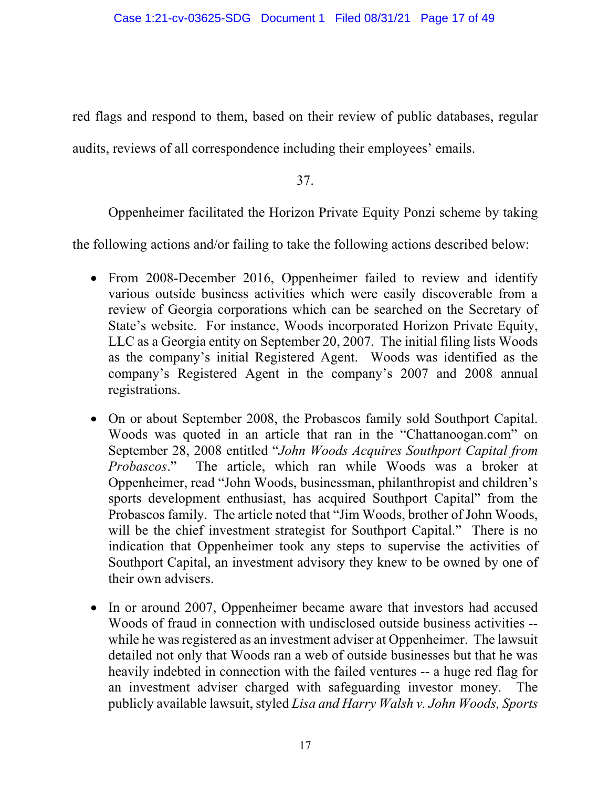red flags and respond to them, based on their review of public databases, regular audits, reviews of all correspondence including their employees' emails.

37.

Oppenheimer facilitated the Horizon Private Equity Ponzi scheme by taking

the following actions and/or failing to take the following actions described below:

- From 2008-December 2016, Oppenheimer failed to review and identify various outside business activities which were easily discoverable from a review of Georgia corporations which can be searched on the Secretary of State's website. For instance, Woods incorporated Horizon Private Equity, LLC as a Georgia entity on September 20, 2007. The initial filing lists Woods as the company's initial Registered Agent. Woods was identified as the company's Registered Agent in the company's 2007 and 2008 annual registrations.
- On or about September 2008, the Probascos family sold Southport Capital. Woods was quoted in an article that ran in the "Chattanoogan.com" on September 28, 2008 entitled "*John Woods Acquires Southport Capital from Probascos*." The article, which ran while Woods was a broker at Oppenheimer, read "John Woods, businessman, philanthropist and children's sports development enthusiast, has acquired Southport Capital" from the Probascos family. The article noted that "Jim Woods, brother of John Woods, will be the chief investment strategist for Southport Capital." There is no indication that Oppenheimer took any steps to supervise the activities of Southport Capital, an investment advisory they knew to be owned by one of their own advisers.
- In or around 2007, Oppenheimer became aware that investors had accused Woods of fraud in connection with undisclosed outside business activities - while he was registered as an investment adviser at Oppenheimer. The lawsuit detailed not only that Woods ran a web of outside businesses but that he was heavily indebted in connection with the failed ventures -- a huge red flag for an investment adviser charged with safeguarding investor money. The publicly available lawsuit, styled *Lisa and Harry Walsh v. John Woods, Sports*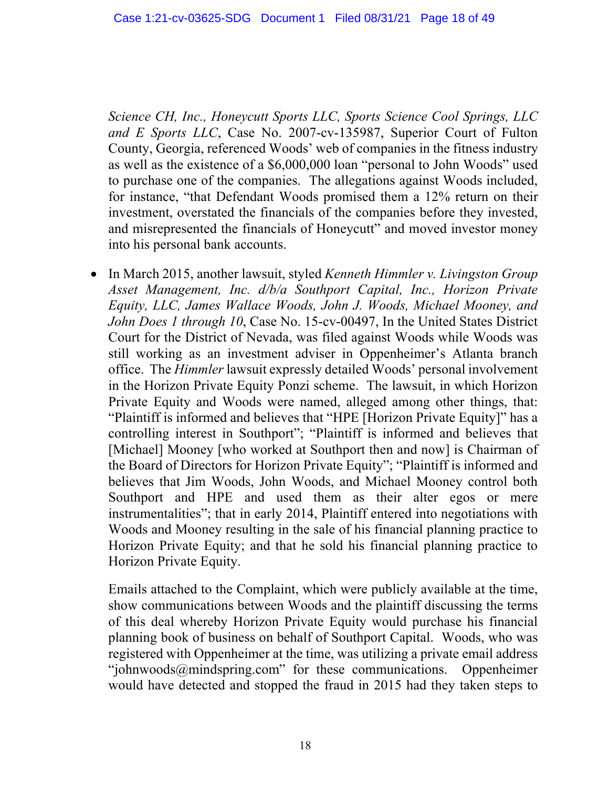*Science CH, Inc., Honeycutt Sports LLC, Sports Science Cool Springs, LLC and E Sports LLC*, Case No. 2007-cv-135987, Superior Court of Fulton County, Georgia, referenced Woods' web of companies in the fitness industry as well as the existence of a \$6,000,000 loan "personal to John Woods" used to purchase one of the companies. The allegations against Woods included, for instance, "that Defendant Woods promised them a 12% return on their investment, overstated the financials of the companies before they invested, and misrepresented the financials of Honeycutt" and moved investor money into his personal bank accounts.

• In March 2015, another lawsuit, styled *Kenneth Himmler v. Livingston Group Asset Management, Inc. d/b/a Southport Capital, Inc., Horizon Private Equity, LLC, James Wallace Woods, John J. Woods, Michael Mooney, and John Does 1 through 10*, Case No. 15-cv-00497, In the United States District Court for the District of Nevada, was filed against Woods while Woods was still working as an investment adviser in Oppenheimer's Atlanta branch office. The *Himmler* lawsuit expressly detailed Woods' personal involvement in the Horizon Private Equity Ponzi scheme. The lawsuit, in which Horizon Private Equity and Woods were named, alleged among other things, that: "Plaintiff is informed and believes that "HPE [Horizon Private Equity]" has a controlling interest in Southport"; "Plaintiff is informed and believes that [Michael] Mooney [who worked at Southport then and now] is Chairman of the Board of Directors for Horizon Private Equity"; "Plaintiff is informed and believes that Jim Woods, John Woods, and Michael Mooney control both Southport and HPE and used them as their alter egos or mere instrumentalities"; that in early 2014, Plaintiff entered into negotiations with Woods and Mooney resulting in the sale of his financial planning practice to Horizon Private Equity; and that he sold his financial planning practice to Horizon Private Equity.

Emails attached to the Complaint, which were publicly available at the time, show communications between Woods and the plaintiff discussing the terms of this deal whereby Horizon Private Equity would purchase his financial planning book of business on behalf of Southport Capital. Woods, who was registered with Oppenheimer at the time, was utilizing a private email address "johnwoods@mindspring.com" for these communications. Oppenheimer would have detected and stopped the fraud in 2015 had they taken steps to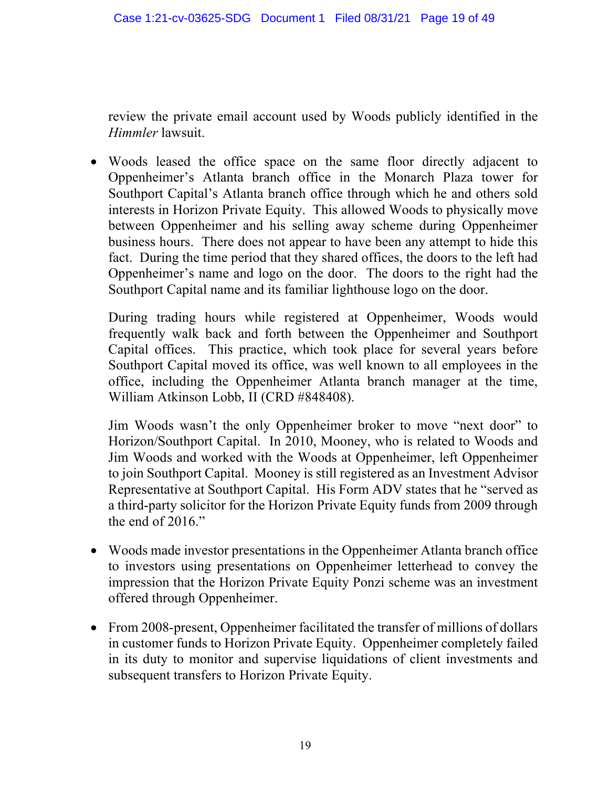review the private email account used by Woods publicly identified in the *Himmler* lawsuit.

• Woods leased the office space on the same floor directly adjacent to Oppenheimer's Atlanta branch office in the Monarch Plaza tower for Southport Capital's Atlanta branch office through which he and others sold interests in Horizon Private Equity. This allowed Woods to physically move between Oppenheimer and his selling away scheme during Oppenheimer business hours. There does not appear to have been any attempt to hide this fact. During the time period that they shared offices, the doors to the left had Oppenheimer's name and logo on the door. The doors to the right had the Southport Capital name and its familiar lighthouse logo on the door.

During trading hours while registered at Oppenheimer, Woods would frequently walk back and forth between the Oppenheimer and Southport Capital offices. This practice, which took place for several years before Southport Capital moved its office, was well known to all employees in the office, including the Oppenheimer Atlanta branch manager at the time, William Atkinson Lobb, II (CRD #848408).

Jim Woods wasn't the only Oppenheimer broker to move "next door" to Horizon/Southport Capital. In 2010, Mooney, who is related to Woods and Jim Woods and worked with the Woods at Oppenheimer, left Oppenheimer to join Southport Capital. Mooney is still registered as an Investment Advisor Representative at Southport Capital. His Form ADV states that he "served as a third-party solicitor for the Horizon Private Equity funds from 2009 through the end of 2016."

- Woods made investor presentations in the Oppenheimer Atlanta branch office to investors using presentations on Oppenheimer letterhead to convey the impression that the Horizon Private Equity Ponzi scheme was an investment offered through Oppenheimer.
- From 2008-present, Oppenheimer facilitated the transfer of millions of dollars in customer funds to Horizon Private Equity. Oppenheimer completely failed in its duty to monitor and supervise liquidations of client investments and subsequent transfers to Horizon Private Equity.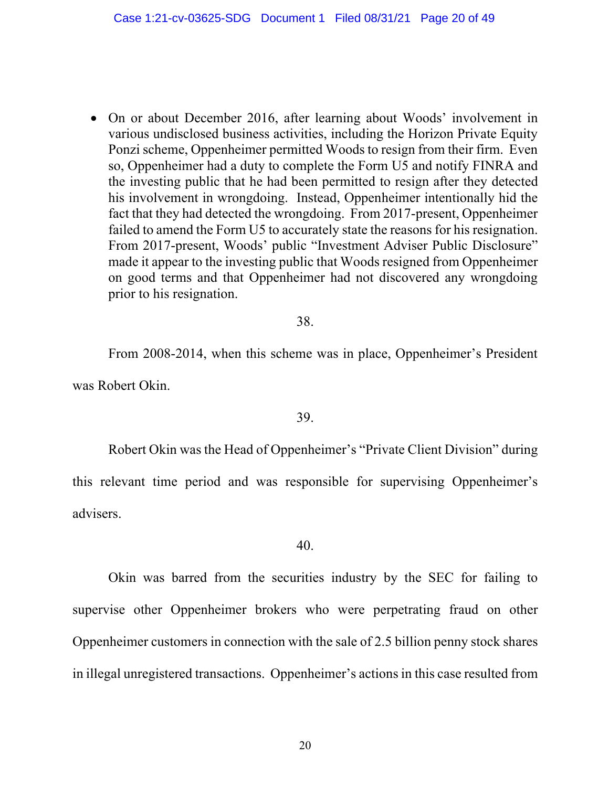• On or about December 2016, after learning about Woods' involvement in various undisclosed business activities, including the Horizon Private Equity Ponzi scheme, Oppenheimer permitted Woods to resign from their firm. Even so, Oppenheimer had a duty to complete the Form U5 and notify FINRA and the investing public that he had been permitted to resign after they detected his involvement in wrongdoing. Instead, Oppenheimer intentionally hid the fact that they had detected the wrongdoing. From 2017-present, Oppenheimer failed to amend the Form U5 to accurately state the reasons for his resignation. From 2017-present, Woods' public "Investment Adviser Public Disclosure" made it appear to the investing public that Woods resigned from Oppenheimer on good terms and that Oppenheimer had not discovered any wrongdoing prior to his resignation.

#### 38.

From 2008-2014, when this scheme was in place, Oppenheimer's President was Robert Okin.

#### 39.

Robert Okin was the Head of Oppenheimer's "Private Client Division" during this relevant time period and was responsible for supervising Oppenheimer's advisers.

40.

Okin was barred from the securities industry by the SEC for failing to supervise other Oppenheimer brokers who were perpetrating fraud on other Oppenheimer customers in connection with the sale of 2.5 billion penny stock shares in illegal unregistered transactions. Oppenheimer's actions in this case resulted from

20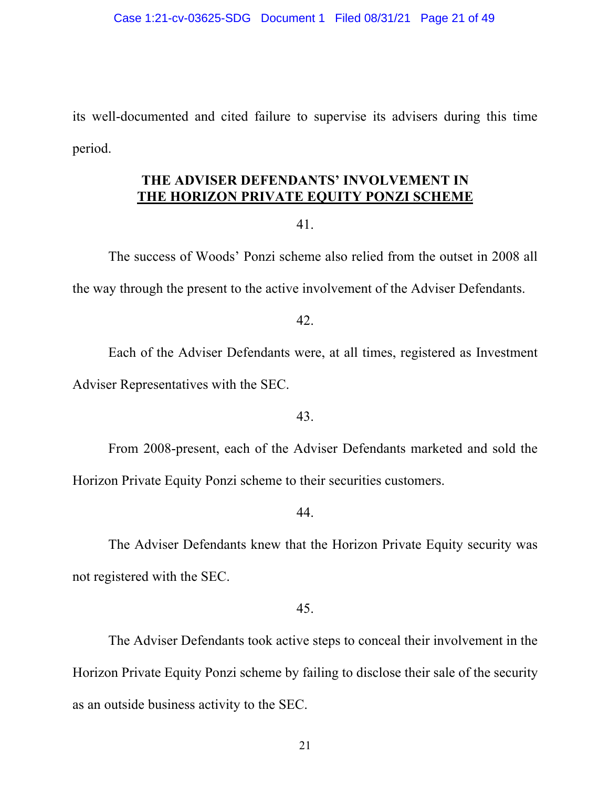#### Case 1:21-cv-03625-SDG Document 1 Filed 08/31/21 Page 21 of 49

its well-documented and cited failure to supervise its advisers during this time period.

## **THE ADVISER DEFENDANTS' INVOLVEMENT IN THE HORIZON PRIVATE EQUITY PONZI SCHEME**

41.

The success of Woods' Ponzi scheme also relied from the outset in 2008 all the way through the present to the active involvement of the Adviser Defendants.

42.

Each of the Adviser Defendants were, at all times, registered as Investment Adviser Representatives with the SEC.

## 43.

From 2008-present, each of the Adviser Defendants marketed and sold the Horizon Private Equity Ponzi scheme to their securities customers.

#### 44.

The Adviser Defendants knew that the Horizon Private Equity security was not registered with the SEC.

45.

The Adviser Defendants took active steps to conceal their involvement in the Horizon Private Equity Ponzi scheme by failing to disclose their sale of the security as an outside business activity to the SEC.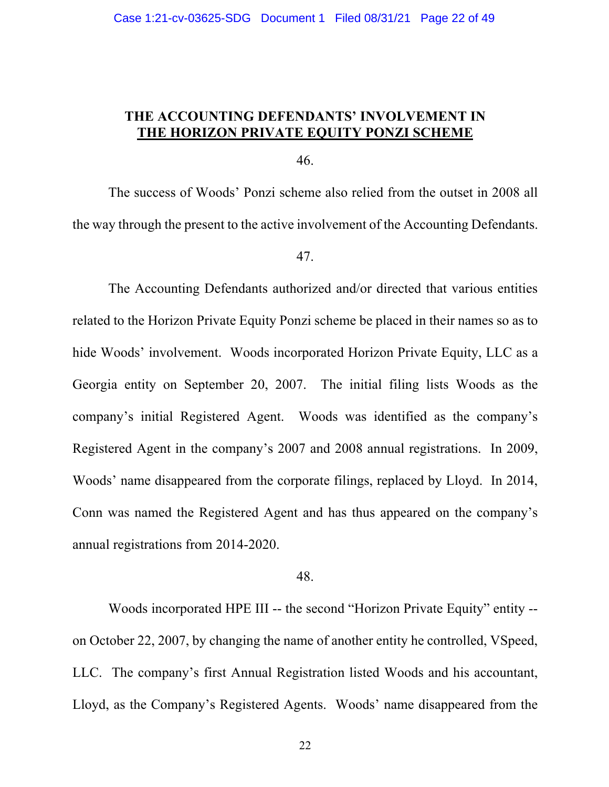## **THE ACCOUNTING DEFENDANTS' INVOLVEMENT IN THE HORIZON PRIVATE EQUITY PONZI SCHEME**

46.

The success of Woods' Ponzi scheme also relied from the outset in 2008 all the way through the present to the active involvement of the Accounting Defendants.

#### 47.

The Accounting Defendants authorized and/or directed that various entities related to the Horizon Private Equity Ponzi scheme be placed in their names so as to hide Woods' involvement. Woods incorporated Horizon Private Equity, LLC as a Georgia entity on September 20, 2007. The initial filing lists Woods as the company's initial Registered Agent. Woods was identified as the company's Registered Agent in the company's 2007 and 2008 annual registrations. In 2009, Woods' name disappeared from the corporate filings, replaced by Lloyd. In 2014, Conn was named the Registered Agent and has thus appeared on the company's annual registrations from 2014-2020.

#### 48.

Woods incorporated HPE III -- the second "Horizon Private Equity" entity - on October 22, 2007, by changing the name of another entity he controlled, VSpeed, LLC. The company's first Annual Registration listed Woods and his accountant, Lloyd, as the Company's Registered Agents. Woods' name disappeared from the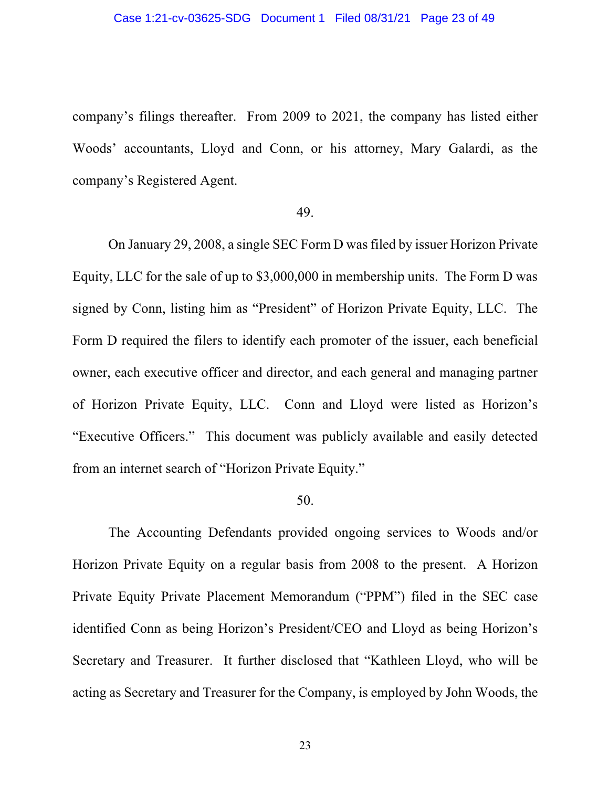company's filings thereafter. From 2009 to 2021, the company has listed either Woods' accountants, Lloyd and Conn, or his attorney, Mary Galardi, as the company's Registered Agent.

#### 49.

On January 29, 2008, a single SEC Form D was filed by issuer Horizon Private Equity, LLC for the sale of up to \$3,000,000 in membership units. The Form D was signed by Conn, listing him as "President" of Horizon Private Equity, LLC. The Form D required the filers to identify each promoter of the issuer, each beneficial owner, each executive officer and director, and each general and managing partner of Horizon Private Equity, LLC. Conn and Lloyd were listed as Horizon's "Executive Officers." This document was publicly available and easily detected from an internet search of "Horizon Private Equity."

#### 50.

The Accounting Defendants provided ongoing services to Woods and/or Horizon Private Equity on a regular basis from 2008 to the present. A Horizon Private Equity Private Placement Memorandum ("PPM") filed in the SEC case identified Conn as being Horizon's President/CEO and Lloyd as being Horizon's Secretary and Treasurer. It further disclosed that "Kathleen Lloyd, who will be acting as Secretary and Treasurer for the Company, is employed by John Woods, the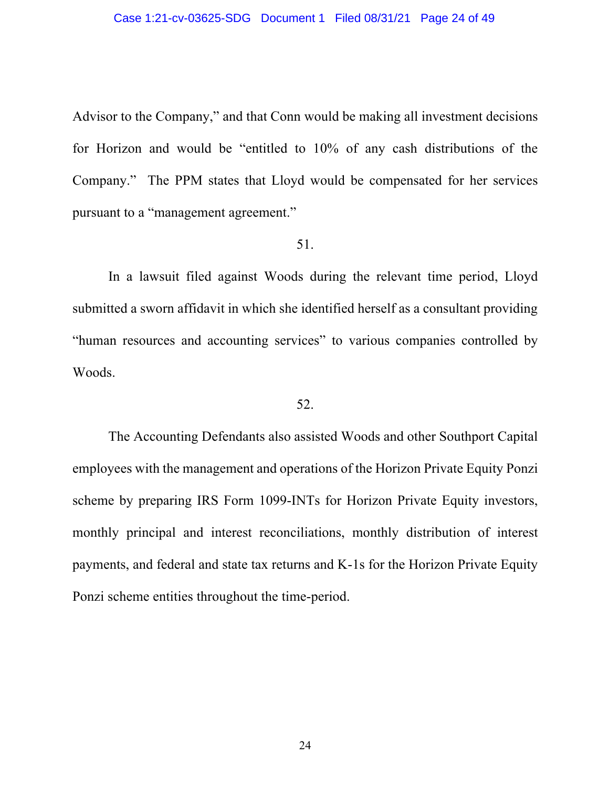Advisor to the Company," and that Conn would be making all investment decisions for Horizon and would be "entitled to 10% of any cash distributions of the Company." The PPM states that Lloyd would be compensated for her services pursuant to a "management agreement."

#### 51.

In a lawsuit filed against Woods during the relevant time period, Lloyd submitted a sworn affidavit in which she identified herself as a consultant providing "human resources and accounting services" to various companies controlled by Woods.

#### 52.

The Accounting Defendants also assisted Woods and other Southport Capital employees with the management and operations of the Horizon Private Equity Ponzi scheme by preparing IRS Form 1099-INTs for Horizon Private Equity investors, monthly principal and interest reconciliations, monthly distribution of interest payments, and federal and state tax returns and K-1s for the Horizon Private Equity Ponzi scheme entities throughout the time-period.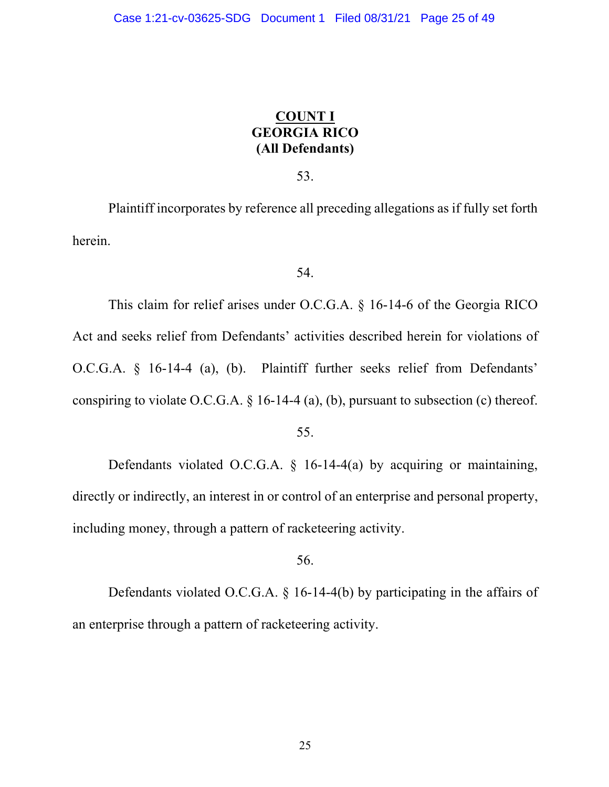## **COUNT I GEORGIA RICO (All Defendants)**

## 53.

Plaintiff incorporates by reference all preceding allegations as if fully set forth herein.

#### 54.

This claim for relief arises under O.C.G.A. § 16-14-6 of the Georgia RICO Act and seeks relief from Defendants' activities described herein for violations of O.C.G.A. § 16-14-4 (a), (b). Plaintiff further seeks relief from Defendants' conspiring to violate O.C.G.A.  $\S$  16-14-4 (a), (b), pursuant to subsection (c) thereof.

## 55.

Defendants violated O.C.G.A. § 16-14-4(a) by acquiring or maintaining, directly or indirectly, an interest in or control of an enterprise and personal property, including money, through a pattern of racketeering activity.

## 56.

Defendants violated O.C.G.A. § 16-14-4(b) by participating in the affairs of an enterprise through a pattern of racketeering activity.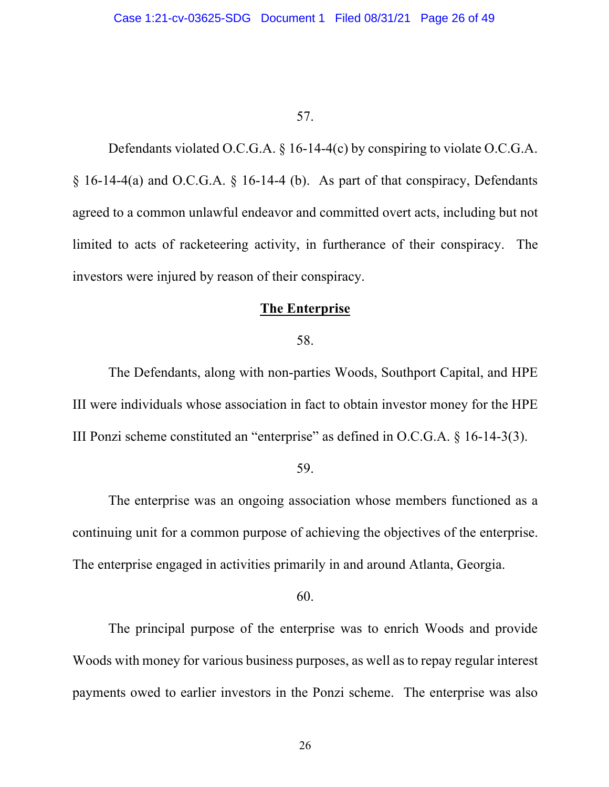Defendants violated O.C.G.A. § 16-14-4(c) by conspiring to violate O.C.G.A.  $§$  16-14-4(a) and O.C.G.A.  $§$  16-14-4 (b). As part of that conspiracy, Defendants agreed to a common unlawful endeavor and committed overt acts, including but not limited to acts of racketeering activity, in furtherance of their conspiracy. The investors were injured by reason of their conspiracy.

#### **The Enterprise**

#### 58.

The Defendants, along with non-parties Woods, Southport Capital, and HPE III were individuals whose association in fact to obtain investor money for the HPE III Ponzi scheme constituted an "enterprise" as defined in O.C.G.A. § 16-14-3(3).

#### 59.

The enterprise was an ongoing association whose members functioned as a continuing unit for a common purpose of achieving the objectives of the enterprise. The enterprise engaged in activities primarily in and around Atlanta, Georgia.

60.

The principal purpose of the enterprise was to enrich Woods and provide Woods with money for various business purposes, as well as to repay regular interest payments owed to earlier investors in the Ponzi scheme. The enterprise was also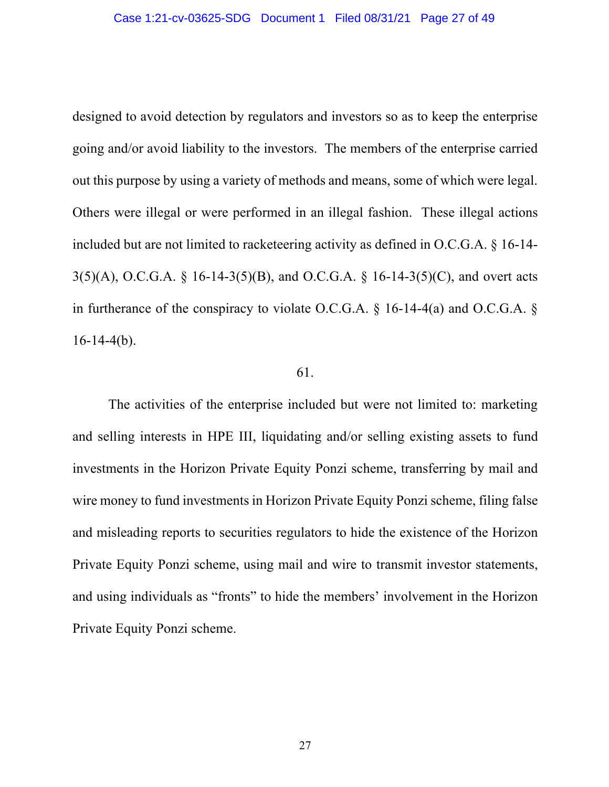designed to avoid detection by regulators and investors so as to keep the enterprise going and/or avoid liability to the investors. The members of the enterprise carried out this purpose by using a variety of methods and means, some of which were legal. Others were illegal or were performed in an illegal fashion. These illegal actions included but are not limited to racketeering activity as defined in O.C.G.A. § 16-14- 3(5)(A), O.C.G.A. § 16-14-3(5)(B), and O.C.G.A. § 16-14-3(5)(C), and overt acts in furtherance of the conspiracy to violate O.C.G.A.  $\S$  16-14-4(a) and O.C.G.A.  $\S$  $16-14-4(b)$ .

## 61.

The activities of the enterprise included but were not limited to: marketing and selling interests in HPE III, liquidating and/or selling existing assets to fund investments in the Horizon Private Equity Ponzi scheme, transferring by mail and wire money to fund investments in Horizon Private Equity Ponzi scheme, filing false and misleading reports to securities regulators to hide the existence of the Horizon Private Equity Ponzi scheme, using mail and wire to transmit investor statements, and using individuals as "fronts" to hide the members' involvement in the Horizon Private Equity Ponzi scheme.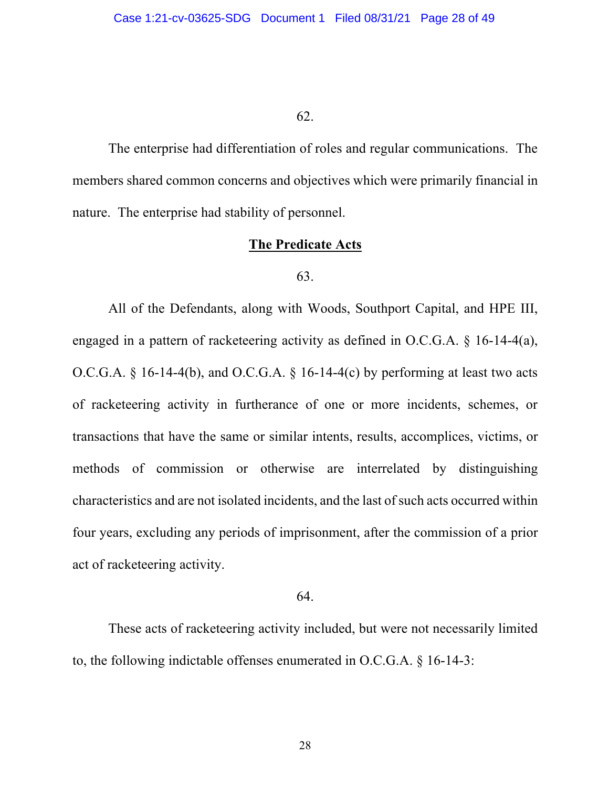The enterprise had differentiation of roles and regular communications. The members shared common concerns and objectives which were primarily financial in nature. The enterprise had stability of personnel.

## **The Predicate Acts**

#### 63.

All of the Defendants, along with Woods, Southport Capital, and HPE III, engaged in a pattern of racketeering activity as defined in O.C.G.A. § 16-14-4(a), O.C.G.A. § 16-14-4(b), and O.C.G.A. § 16-14-4(c) by performing at least two acts of racketeering activity in furtherance of one or more incidents, schemes, or transactions that have the same or similar intents, results, accomplices, victims, or methods of commission or otherwise are interrelated by distinguishing characteristics and are not isolated incidents, and the last of such acts occurred within four years, excluding any periods of imprisonment, after the commission of a prior act of racketeering activity.

#### 64.

These acts of racketeering activity included, but were not necessarily limited to, the following indictable offenses enumerated in O.C.G.A. § 16-14-3: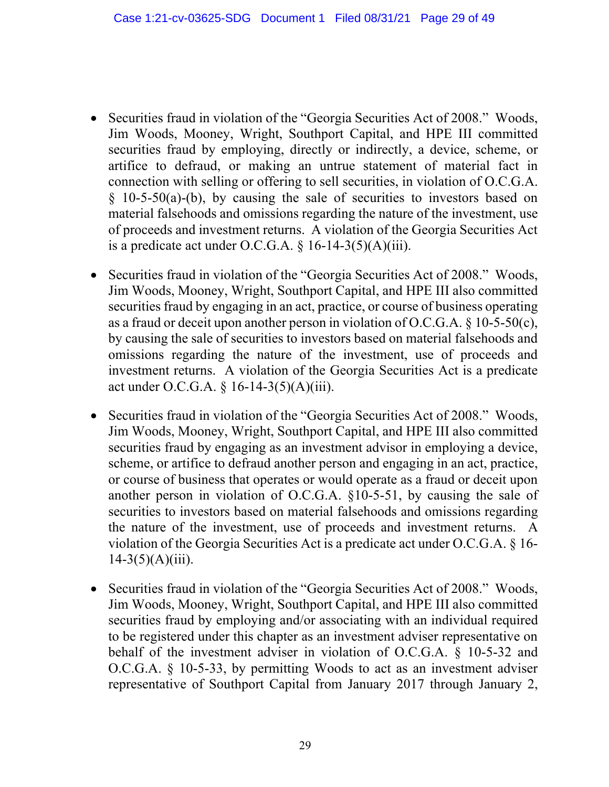- Securities fraud in violation of the "Georgia Securities Act of 2008." Woods, Jim Woods, Mooney, Wright, Southport Capital, and HPE III committed securities fraud by employing, directly or indirectly, a device, scheme, or artifice to defraud, or making an untrue statement of material fact in connection with selling or offering to sell securities, in violation of O.C.G.A.  $\S$  10-5-50(a)-(b), by causing the sale of securities to investors based on material falsehoods and omissions regarding the nature of the investment, use of proceeds and investment returns. A violation of the Georgia Securities Act is a predicate act under O.C.G.A.  $\S$  16-14-3(5)(A)(iii).
- Securities fraud in violation of the "Georgia Securities Act of 2008." Woods, Jim Woods, Mooney, Wright, Southport Capital, and HPE III also committed securities fraud by engaging in an act, practice, or course of business operating as a fraud or deceit upon another person in violation of O.C.G.A. § 10-5-50(c), by causing the sale of securities to investors based on material falsehoods and omissions regarding the nature of the investment, use of proceeds and investment returns. A violation of the Georgia Securities Act is a predicate act under O.C.G.A. § 16-14-3(5)(A)(iii).
- Securities fraud in violation of the "Georgia Securities Act of 2008." Woods, Jim Woods, Mooney, Wright, Southport Capital, and HPE III also committed securities fraud by engaging as an investment advisor in employing a device, scheme, or artifice to defraud another person and engaging in an act, practice, or course of business that operates or would operate as a fraud or deceit upon another person in violation of O.C.G.A. §10-5-51, by causing the sale of securities to investors based on material falsehoods and omissions regarding the nature of the investment, use of proceeds and investment returns. A violation of the Georgia Securities Act is a predicate act under O.C.G.A. § 16-  $14-3(5)(A)(iii)$ .
- Securities fraud in violation of the "Georgia Securities Act of 2008." Woods, Jim Woods, Mooney, Wright, Southport Capital, and HPE III also committed securities fraud by employing and/or associating with an individual required to be registered under this chapter as an investment adviser representative on behalf of the investment adviser in violation of O.C.G.A. § 10-5-32 and O.C.G.A. § 10-5-33, by permitting Woods to act as an investment adviser representative of Southport Capital from January 2017 through January 2,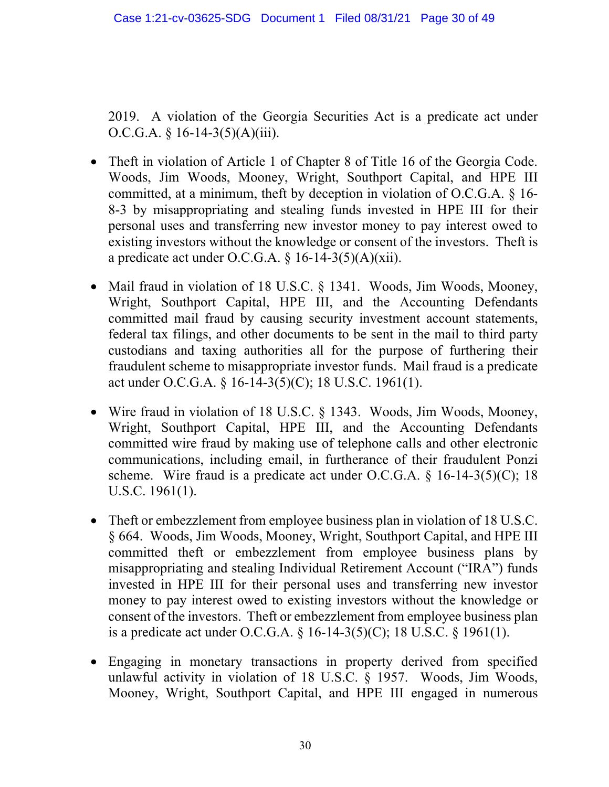2019. A violation of the Georgia Securities Act is a predicate act under O.C.G.A.  $§$  16-14-3(5)(A)(iii).

- Theft in violation of Article 1 of Chapter 8 of Title 16 of the Georgia Code. Woods, Jim Woods, Mooney, Wright, Southport Capital, and HPE III committed, at a minimum, theft by deception in violation of O.C.G.A. § 16- 8-3 by misappropriating and stealing funds invested in HPE III for their personal uses and transferring new investor money to pay interest owed to existing investors without the knowledge or consent of the investors. Theft is a predicate act under O.C.G.A.  $\S$  16-14-3(5)(A)(xii).
- Mail fraud in violation of 18 U.S.C. § 1341. Woods, Jim Woods, Mooney, Wright, Southport Capital, HPE III, and the Accounting Defendants committed mail fraud by causing security investment account statements, federal tax filings, and other documents to be sent in the mail to third party custodians and taxing authorities all for the purpose of furthering their fraudulent scheme to misappropriate investor funds. Mail fraud is a predicate act under O.C.G.A. § 16-14-3(5)(C); 18 U.S.C. 1961(1).
- Wire fraud in violation of 18 U.S.C. § 1343. Woods, Jim Woods, Mooney, Wright, Southport Capital, HPE III, and the Accounting Defendants committed wire fraud by making use of telephone calls and other electronic communications, including email, in furtherance of their fraudulent Ponzi scheme. Wire fraud is a predicate act under O.C.G.A.  $\{16-14-3(5)(C)\}$ ; 18 U.S.C. 1961(1).
- Theft or embezzlement from employee business plan in violation of 18 U.S.C. § 664. Woods, Jim Woods, Mooney, Wright, Southport Capital, and HPE III committed theft or embezzlement from employee business plans by misappropriating and stealing Individual Retirement Account ("IRA") funds invested in HPE III for their personal uses and transferring new investor money to pay interest owed to existing investors without the knowledge or consent of the investors. Theft or embezzlement from employee business plan is a predicate act under O.C.G.A. § 16-14-3(5)(C); 18 U.S.C. § 1961(1).
- Engaging in monetary transactions in property derived from specified unlawful activity in violation of 18 U.S.C. § 1957. Woods, Jim Woods, Mooney, Wright, Southport Capital, and HPE III engaged in numerous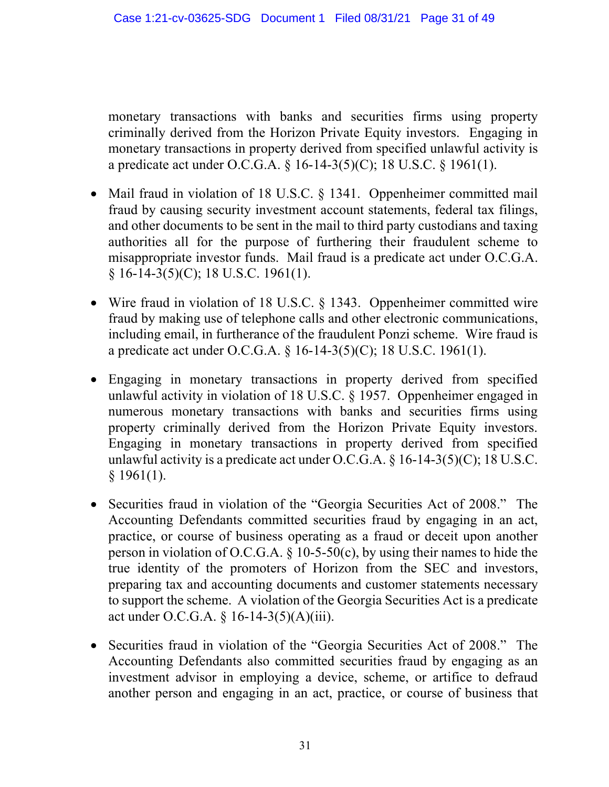monetary transactions with banks and securities firms using property criminally derived from the Horizon Private Equity investors. Engaging in monetary transactions in property derived from specified unlawful activity is a predicate act under O.C.G.A. § 16-14-3(5)(C); 18 U.S.C. § 1961(1).

- Mail fraud in violation of 18 U.S.C. § 1341. Oppenheimer committed mail fraud by causing security investment account statements, federal tax filings, and other documents to be sent in the mail to third party custodians and taxing authorities all for the purpose of furthering their fraudulent scheme to misappropriate investor funds. Mail fraud is a predicate act under O.C.G.A. § 16-14-3(5)(C); 18 U.S.C. 1961(1).
- Wire fraud in violation of 18 U.S.C. § 1343. Oppenheimer committed wire fraud by making use of telephone calls and other electronic communications, including email, in furtherance of the fraudulent Ponzi scheme. Wire fraud is a predicate act under O.C.G.A. § 16-14-3(5)(C); 18 U.S.C. 1961(1).
- Engaging in monetary transactions in property derived from specified unlawful activity in violation of 18 U.S.C. § 1957. Oppenheimer engaged in numerous monetary transactions with banks and securities firms using property criminally derived from the Horizon Private Equity investors. Engaging in monetary transactions in property derived from specified unlawful activity is a predicate act under O.C.G.A.  $\S$  16-14-3(5)(C); 18 U.S.C.  $$1961(1).$
- Securities fraud in violation of the "Georgia Securities Act of 2008." The Accounting Defendants committed securities fraud by engaging in an act, practice, or course of business operating as a fraud or deceit upon another person in violation of O.C.G.A. § 10-5-50(c), by using their names to hide the true identity of the promoters of Horizon from the SEC and investors, preparing tax and accounting documents and customer statements necessary to support the scheme. A violation of the Georgia Securities Act is a predicate act under O.C.G.A. § 16-14-3(5)(A)(iii).
- Securities fraud in violation of the "Georgia Securities Act of 2008." The Accounting Defendants also committed securities fraud by engaging as an investment advisor in employing a device, scheme, or artifice to defraud another person and engaging in an act, practice, or course of business that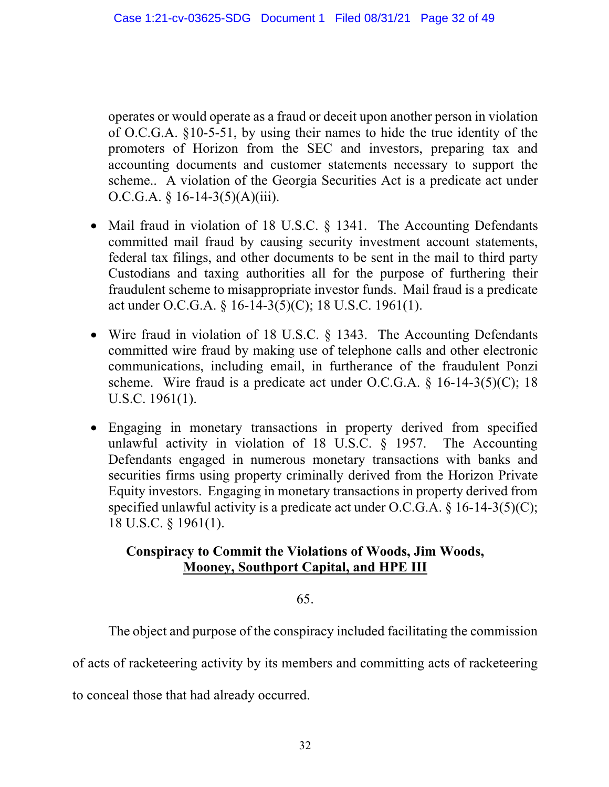operates or would operate as a fraud or deceit upon another person in violation of O.C.G.A. §10-5-51, by using their names to hide the true identity of the promoters of Horizon from the SEC and investors, preparing tax and accounting documents and customer statements necessary to support the scheme.. A violation of the Georgia Securities Act is a predicate act under O.C.G.A.  $§$  16-14-3(5)(A)(iii).

- Mail fraud in violation of 18 U.S.C. § 1341. The Accounting Defendants committed mail fraud by causing security investment account statements, federal tax filings, and other documents to be sent in the mail to third party Custodians and taxing authorities all for the purpose of furthering their fraudulent scheme to misappropriate investor funds. Mail fraud is a predicate act under O.C.G.A. § 16-14-3(5)(C); 18 U.S.C. 1961(1).
- Wire fraud in violation of 18 U.S.C. § 1343. The Accounting Defendants committed wire fraud by making use of telephone calls and other electronic communications, including email, in furtherance of the fraudulent Ponzi scheme. Wire fraud is a predicate act under O.C.G.A.  $\delta$  16-14-3(5)(C); 18 U.S.C. 1961(1).
- Engaging in monetary transactions in property derived from specified unlawful activity in violation of 18 U.S.C. § 1957. The Accounting Defendants engaged in numerous monetary transactions with banks and securities firms using property criminally derived from the Horizon Private Equity investors. Engaging in monetary transactions in property derived from specified unlawful activity is a predicate act under O.C.G.A.  $\S$  16-14-3(5)(C); 18 U.S.C. § 1961(1).

## **Conspiracy to Commit the Violations of Woods, Jim Woods, Mooney, Southport Capital, and HPE III**

65.

The object and purpose of the conspiracy included facilitating the commission

of acts of racketeering activity by its members and committing acts of racketeering

to conceal those that had already occurred.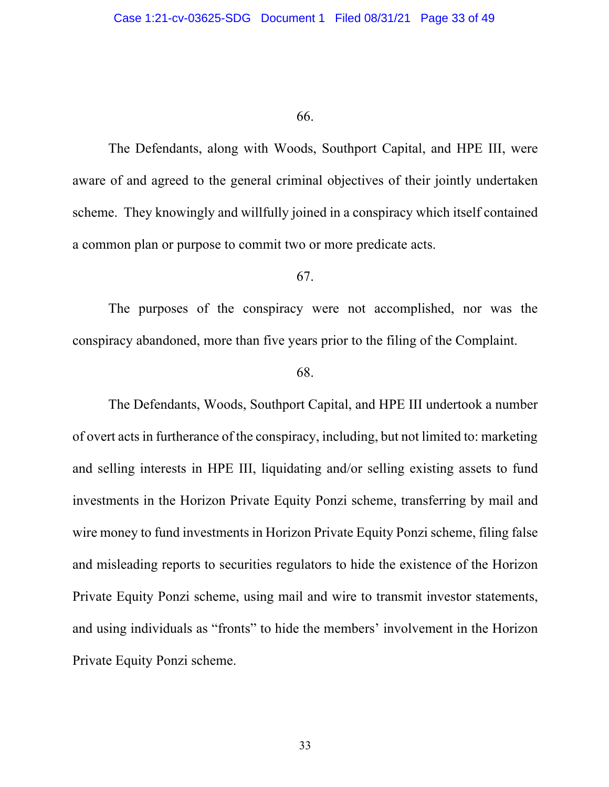The Defendants, along with Woods, Southport Capital, and HPE III, were aware of and agreed to the general criminal objectives of their jointly undertaken scheme. They knowingly and willfully joined in a conspiracy which itself contained a common plan or purpose to commit two or more predicate acts.

#### 67.

The purposes of the conspiracy were not accomplished, nor was the conspiracy abandoned, more than five years prior to the filing of the Complaint.

#### 68.

The Defendants, Woods, Southport Capital, and HPE III undertook a number of overt acts in furtherance of the conspiracy, including, but not limited to: marketing and selling interests in HPE III, liquidating and/or selling existing assets to fund investments in the Horizon Private Equity Ponzi scheme, transferring by mail and wire money to fund investments in Horizon Private Equity Ponzi scheme, filing false and misleading reports to securities regulators to hide the existence of the Horizon Private Equity Ponzi scheme, using mail and wire to transmit investor statements, and using individuals as "fronts" to hide the members' involvement in the Horizon Private Equity Ponzi scheme.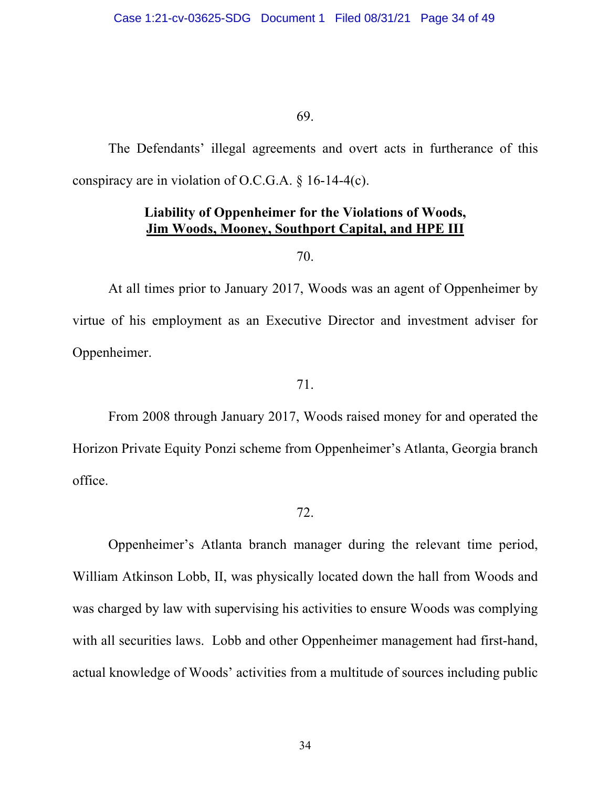The Defendants' illegal agreements and overt acts in furtherance of this conspiracy are in violation of O.C.G.A. § 16-14-4(c).

## **Liability of Oppenheimer for the Violations of Woods, Jim Woods, Mooney, Southport Capital, and HPE III**

#### 70.

At all times prior to January 2017, Woods was an agent of Oppenheimer by virtue of his employment as an Executive Director and investment adviser for Oppenheimer.

#### 71.

From 2008 through January 2017, Woods raised money for and operated the Horizon Private Equity Ponzi scheme from Oppenheimer's Atlanta, Georgia branch office.

## 72.

Oppenheimer's Atlanta branch manager during the relevant time period, William Atkinson Lobb, II, was physically located down the hall from Woods and was charged by law with supervising his activities to ensure Woods was complying with all securities laws. Lobb and other Oppenheimer management had first-hand, actual knowledge of Woods' activities from a multitude of sources including public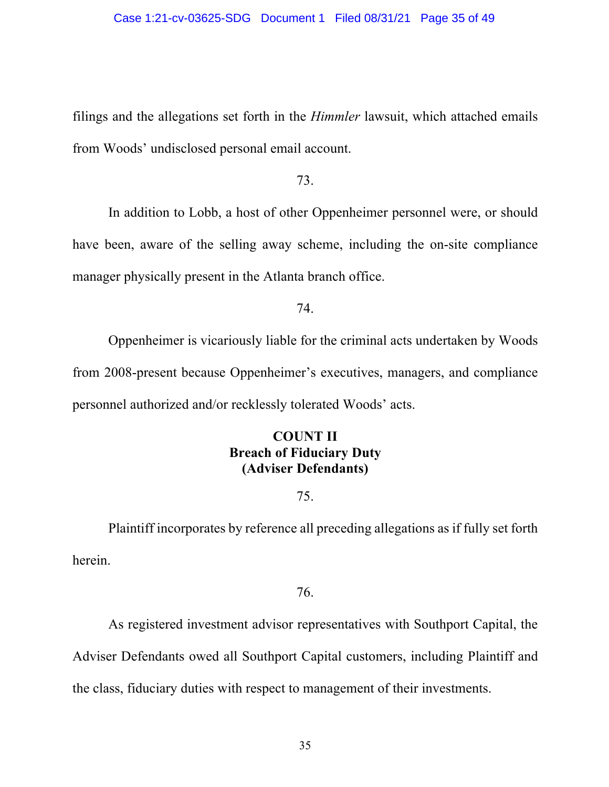filings and the allegations set forth in the *Himmler* lawsuit, which attached emails from Woods' undisclosed personal email account.

73.

In addition to Lobb, a host of other Oppenheimer personnel were, or should have been, aware of the selling away scheme, including the on-site compliance manager physically present in the Atlanta branch office.

74.

Oppenheimer is vicariously liable for the criminal acts undertaken by Woods from 2008-present because Oppenheimer's executives, managers, and compliance personnel authorized and/or recklessly tolerated Woods' acts.

## **COUNT II Breach of Fiduciary Duty (Adviser Defendants)**

## 75.

Plaintiff incorporates by reference all preceding allegations as if fully set forth herein.

76.

As registered investment advisor representatives with Southport Capital, the Adviser Defendants owed all Southport Capital customers, including Plaintiff and the class, fiduciary duties with respect to management of their investments.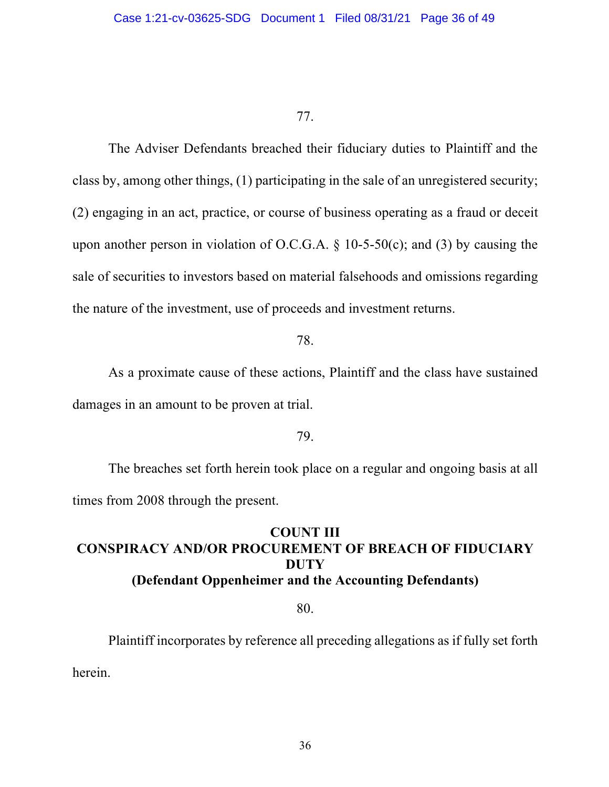The Adviser Defendants breached their fiduciary duties to Plaintiff and the class by, among other things, (1) participating in the sale of an unregistered security; (2) engaging in an act, practice, or course of business operating as a fraud or deceit upon another person in violation of O.C.G.A.  $\S$  10-5-50(c); and (3) by causing the sale of securities to investors based on material falsehoods and omissions regarding the nature of the investment, use of proceeds and investment returns.

#### 78.

As a proximate cause of these actions, Plaintiff and the class have sustained damages in an amount to be proven at trial.

#### 79.

The breaches set forth herein took place on a regular and ongoing basis at all times from 2008 through the present.

## **COUNT III CONSPIRACY AND/OR PROCUREMENT OF BREACH OF FIDUCIARY DUTY (Defendant Oppenheimer and the Accounting Defendants)**

80.

Plaintiff incorporates by reference all preceding allegations as if fully set forth herein.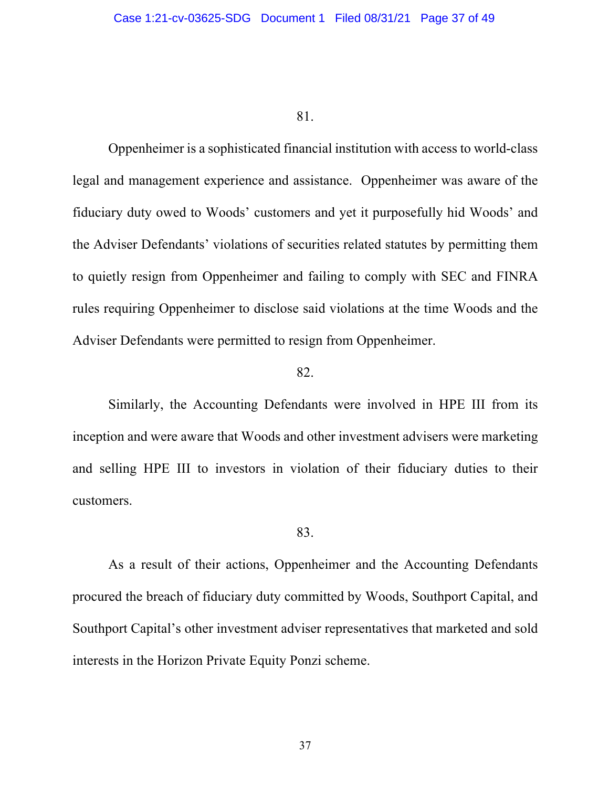Oppenheimer is a sophisticated financial institution with access to world-class legal and management experience and assistance. Oppenheimer was aware of the fiduciary duty owed to Woods' customers and yet it purposefully hid Woods' and the Adviser Defendants' violations of securities related statutes by permitting them to quietly resign from Oppenheimer and failing to comply with SEC and FINRA rules requiring Oppenheimer to disclose said violations at the time Woods and the Adviser Defendants were permitted to resign from Oppenheimer.

#### 82.

Similarly, the Accounting Defendants were involved in HPE III from its inception and were aware that Woods and other investment advisers were marketing and selling HPE III to investors in violation of their fiduciary duties to their customers.

#### 83.

As a result of their actions, Oppenheimer and the Accounting Defendants procured the breach of fiduciary duty committed by Woods, Southport Capital, and Southport Capital's other investment adviser representatives that marketed and sold interests in the Horizon Private Equity Ponzi scheme.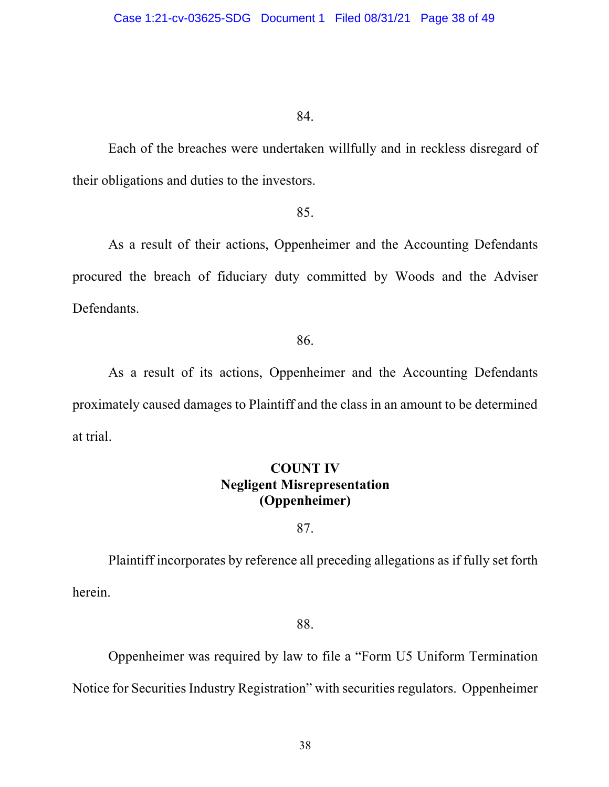Each of the breaches were undertaken willfully and in reckless disregard of their obligations and duties to the investors.

#### 85.

As a result of their actions, Oppenheimer and the Accounting Defendants procured the breach of fiduciary duty committed by Woods and the Adviser Defendants.

## 86.

As a result of its actions, Oppenheimer and the Accounting Defendants proximately caused damages to Plaintiff and the class in an amount to be determined at trial.

## **COUNT IV Negligent Misrepresentation (Oppenheimer)**

#### 87.

Plaintiff incorporates by reference all preceding allegations as if fully set forth herein.

88.

Oppenheimer was required by law to file a "Form U5 Uniform Termination Notice for Securities Industry Registration" with securities regulators. Oppenheimer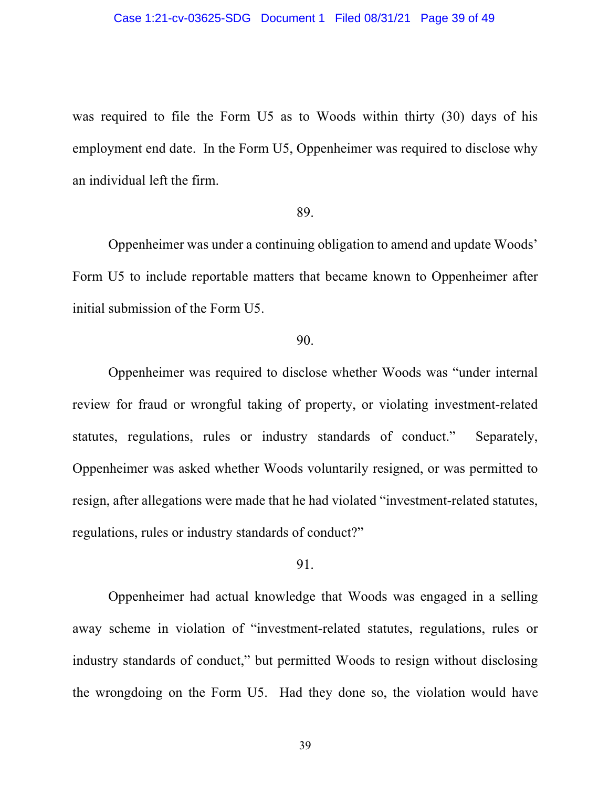was required to file the Form U5 as to Woods within thirty (30) days of his employment end date. In the Form U5, Oppenheimer was required to disclose why an individual left the firm.

#### 89.

Oppenheimer was under a continuing obligation to amend and update Woods' Form U5 to include reportable matters that became known to Oppenheimer after initial submission of the Form U5.

### 90.

Oppenheimer was required to disclose whether Woods was "under internal review for fraud or wrongful taking of property, or violating investment-related statutes, regulations, rules or industry standards of conduct." Separately, Oppenheimer was asked whether Woods voluntarily resigned, or was permitted to resign, after allegations were made that he had violated "investment-related statutes, regulations, rules or industry standards of conduct?"

## 91.

Oppenheimer had actual knowledge that Woods was engaged in a selling away scheme in violation of "investment-related statutes, regulations, rules or industry standards of conduct," but permitted Woods to resign without disclosing the wrongdoing on the Form U5. Had they done so, the violation would have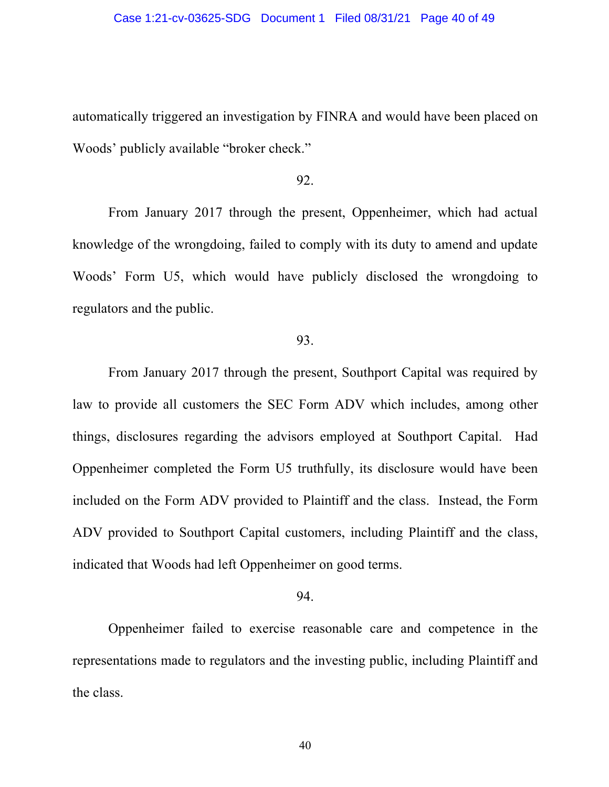#### Case 1:21-cv-03625-SDG Document 1 Filed 08/31/21 Page 40 of 49

automatically triggered an investigation by FINRA and would have been placed on Woods' publicly available "broker check."

#### 92.

From January 2017 through the present, Oppenheimer, which had actual knowledge of the wrongdoing, failed to comply with its duty to amend and update Woods' Form U5, which would have publicly disclosed the wrongdoing to regulators and the public.

## 93.

From January 2017 through the present, Southport Capital was required by law to provide all customers the SEC Form ADV which includes, among other things, disclosures regarding the advisors employed at Southport Capital. Had Oppenheimer completed the Form U5 truthfully, its disclosure would have been included on the Form ADV provided to Plaintiff and the class. Instead, the Form ADV provided to Southport Capital customers, including Plaintiff and the class, indicated that Woods had left Oppenheimer on good terms.

#### 94.

Oppenheimer failed to exercise reasonable care and competence in the representations made to regulators and the investing public, including Plaintiff and the class.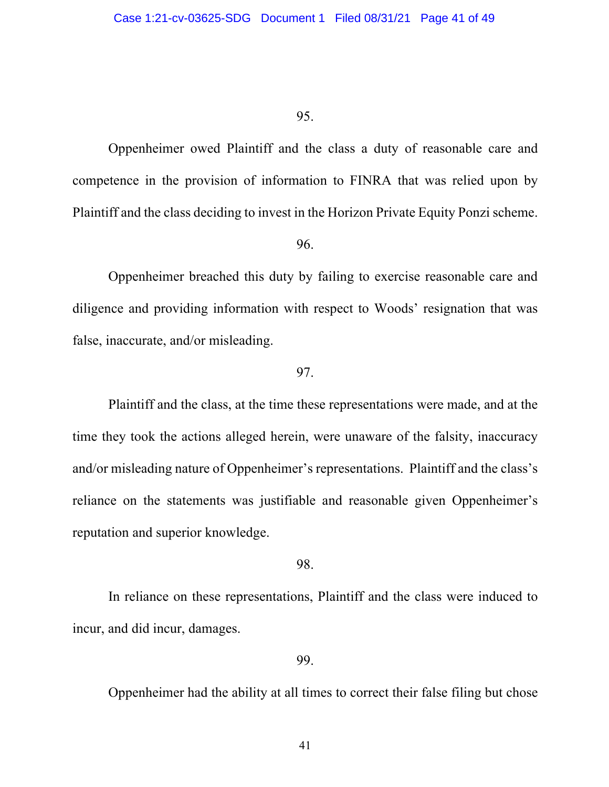Oppenheimer owed Plaintiff and the class a duty of reasonable care and competence in the provision of information to FINRA that was relied upon by Plaintiff and the class deciding to invest in the Horizon Private Equity Ponzi scheme.

#### 96.

Oppenheimer breached this duty by failing to exercise reasonable care and diligence and providing information with respect to Woods' resignation that was false, inaccurate, and/or misleading.

#### 97.

Plaintiff and the class, at the time these representations were made, and at the time they took the actions alleged herein, were unaware of the falsity, inaccuracy and/or misleading nature of Oppenheimer's representations. Plaintiff and the class's reliance on the statements was justifiable and reasonable given Oppenheimer's reputation and superior knowledge.

## 98.

In reliance on these representations, Plaintiff and the class were induced to incur, and did incur, damages.

#### 99.

Oppenheimer had the ability at all times to correct their false filing but chose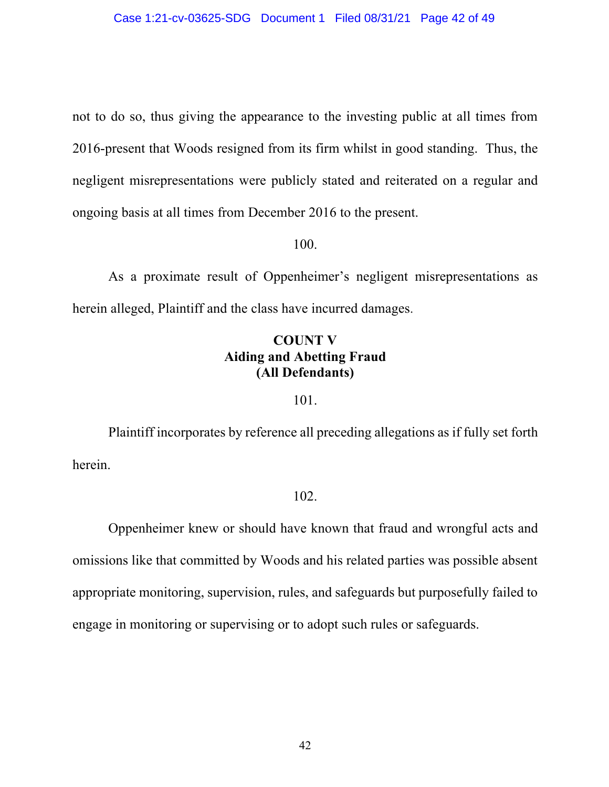not to do so, thus giving the appearance to the investing public at all times from 2016-present that Woods resigned from its firm whilst in good standing. Thus, the negligent misrepresentations were publicly stated and reiterated on a regular and ongoing basis at all times from December 2016 to the present.

#### 100.

As a proximate result of Oppenheimer's negligent misrepresentations as herein alleged, Plaintiff and the class have incurred damages.

## **COUNT V Aiding and Abetting Fraud (All Defendants)**

## 101.

Plaintiff incorporates by reference all preceding allegations as if fully set forth herein.

#### 102.

Oppenheimer knew or should have known that fraud and wrongful acts and omissions like that committed by Woods and his related parties was possible absent appropriate monitoring, supervision, rules, and safeguards but purposefully failed to engage in monitoring or supervising or to adopt such rules or safeguards.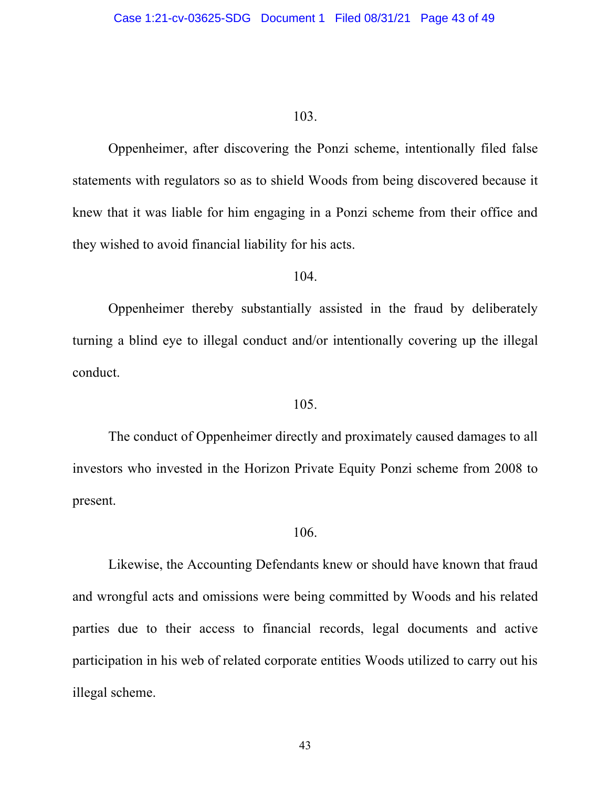Oppenheimer, after discovering the Ponzi scheme, intentionally filed false statements with regulators so as to shield Woods from being discovered because it knew that it was liable for him engaging in a Ponzi scheme from their office and they wished to avoid financial liability for his acts.

#### 104.

Oppenheimer thereby substantially assisted in the fraud by deliberately turning a blind eye to illegal conduct and/or intentionally covering up the illegal conduct.

#### 105.

The conduct of Oppenheimer directly and proximately caused damages to all investors who invested in the Horizon Private Equity Ponzi scheme from 2008 to present.

#### 106.

Likewise, the Accounting Defendants knew or should have known that fraud and wrongful acts and omissions were being committed by Woods and his related parties due to their access to financial records, legal documents and active participation in his web of related corporate entities Woods utilized to carry out his illegal scheme.

43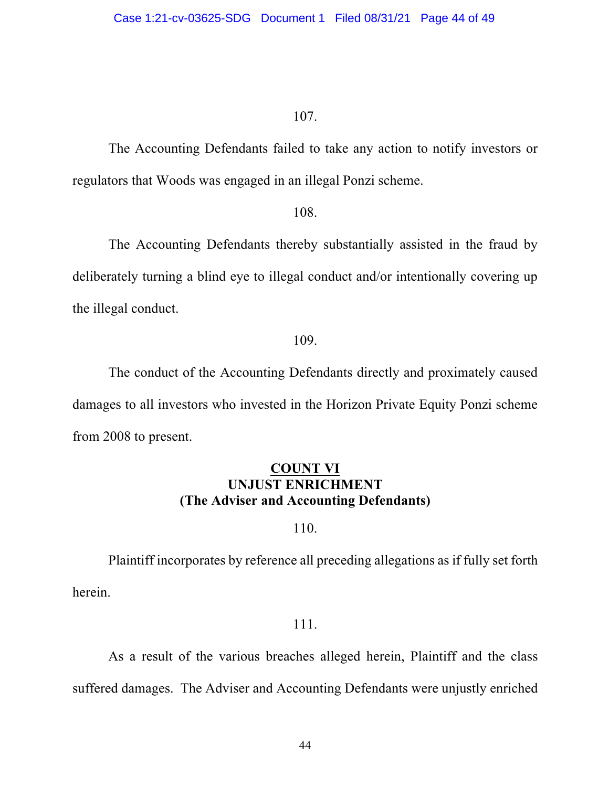The Accounting Defendants failed to take any action to notify investors or regulators that Woods was engaged in an illegal Ponzi scheme.

## 108.

The Accounting Defendants thereby substantially assisted in the fraud by deliberately turning a blind eye to illegal conduct and/or intentionally covering up the illegal conduct.

## 109.

The conduct of the Accounting Defendants directly and proximately caused damages to all investors who invested in the Horizon Private Equity Ponzi scheme from 2008 to present.

## **COUNT VI UNJUST ENRICHMENT (The Adviser and Accounting Defendants)**

#### 110.

Plaintiff incorporates by reference all preceding allegations as if fully set forth herein.

## 111.

As a result of the various breaches alleged herein, Plaintiff and the class suffered damages. The Adviser and Accounting Defendants were unjustly enriched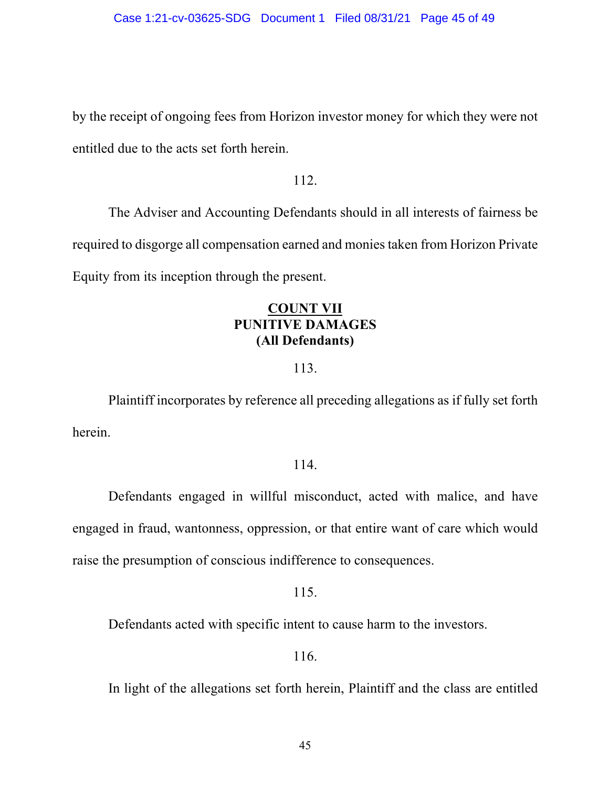by the receipt of ongoing fees from Horizon investor money for which they were not entitled due to the acts set forth herein.

### 112.

The Adviser and Accounting Defendants should in all interests of fairness be required to disgorge all compensation earned and monies taken from Horizon Private Equity from its inception through the present.

## **COUNT VII PUNITIVE DAMAGES (All Defendants)**

## 113.

Plaintiff incorporates by reference all preceding allegations as if fully set forth herein.

## 114.

Defendants engaged in willful misconduct, acted with malice, and have engaged in fraud, wantonness, oppression, or that entire want of care which would raise the presumption of conscious indifference to consequences.

## 115.

Defendants acted with specific intent to cause harm to the investors.

116.

In light of the allegations set forth herein, Plaintiff and the class are entitled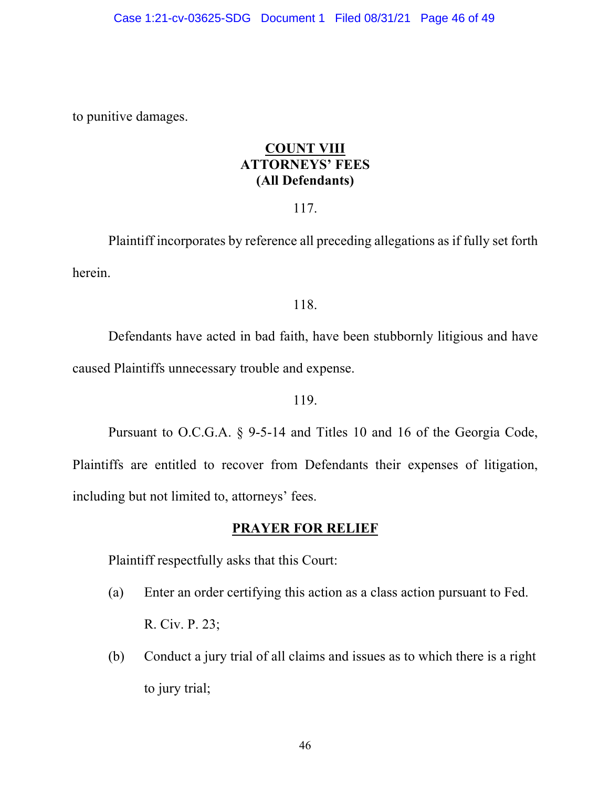to punitive damages.

## **COUNT VIII ATTORNEYS' FEES (All Defendants)**

## 117.

Plaintiff incorporates by reference all preceding allegations as if fully set forth herein.

#### 118.

Defendants have acted in bad faith, have been stubbornly litigious and have caused Plaintiffs unnecessary trouble and expense.

## 119.

Pursuant to O.C.G.A. § 9-5-14 and Titles 10 and 16 of the Georgia Code, Plaintiffs are entitled to recover from Defendants their expenses of litigation, including but not limited to, attorneys' fees.

## **PRAYER FOR RELIEF**

Plaintiff respectfully asks that this Court:

- (a) Enter an order certifying this action as a class action pursuant to Fed. R. Civ. P. 23;
- (b) Conduct a jury trial of all claims and issues as to which there is a right to jury trial;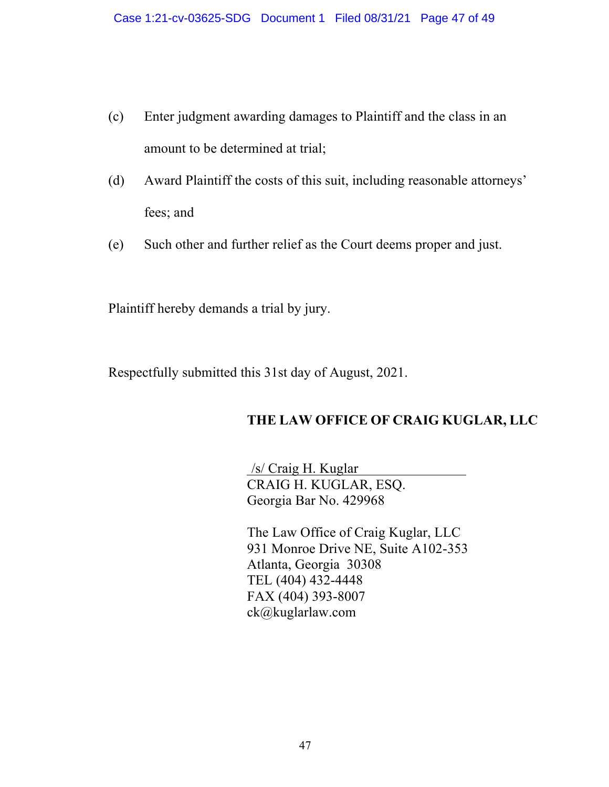- (c) Enter judgment awarding damages to Plaintiff and the class in an amount to be determined at trial;
- (d) Award Plaintiff the costs of this suit, including reasonable attorneys' fees; and
- (e) Such other and further relief as the Court deems proper and just.

Plaintiff hereby demands a trial by jury.

Respectfully submitted this 31st day of August, 2021.

## **THE LAW OFFICE OF CRAIG KUGLAR, LLC**

/s/ Craig H. Kuglar CRAIG H. KUGLAR, ESQ. Georgia Bar No. 429968

The Law Office of Craig Kuglar, LLC 931 Monroe Drive NE, Suite A102-353 Atlanta, Georgia 30308 TEL (404) 432-4448 FAX (404) 393-8007 ck@kuglarlaw.com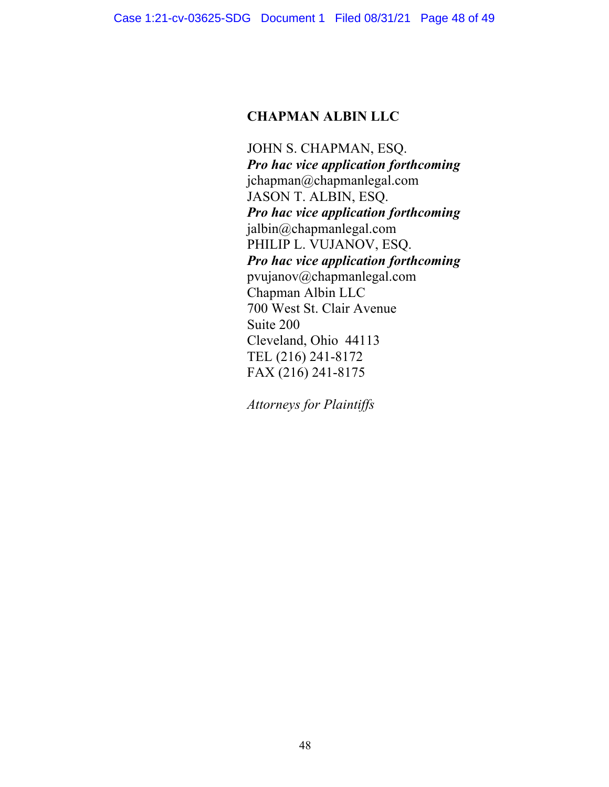## **CHAPMAN ALBIN LLC**

JOHN S. CHAPMAN, ESQ. *Pro hac vice application forthcoming* jchapman@chapmanlegal.com JASON T. ALBIN, ESQ. *Pro hac vice application forthcoming* jalbin@chapmanlegal.com PHILIP L. VUJANOV, ESQ. *Pro hac vice application forthcoming* pvujanov@chapmanlegal.com Chapman Albin LLC 700 West St. Clair Avenue Suite 200 Cleveland, Ohio 44113 TEL (216) 241-8172 FAX (216) 241-8175

*Attorneys for Plaintiffs*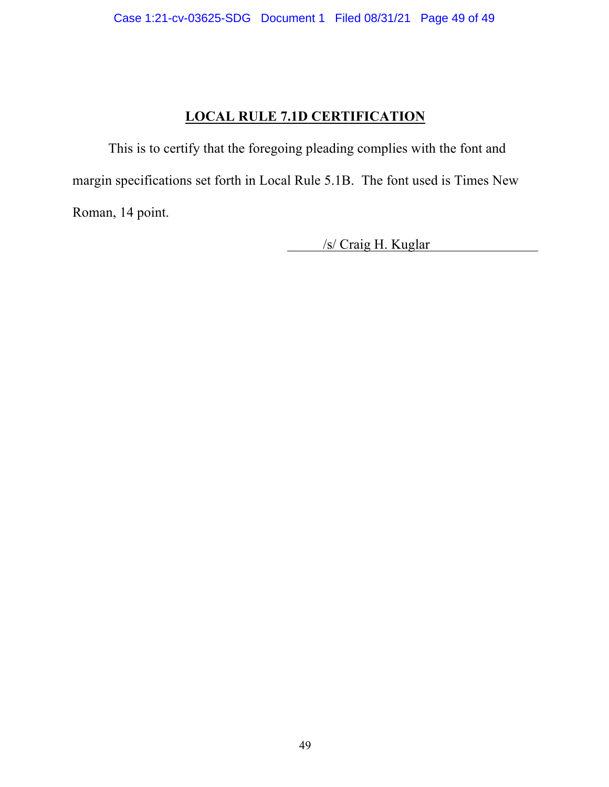## **LOCAL RULE 7.1D CERTIFICATION**

This is to certify that the foregoing pleading complies with the font and margin specifications set forth in Local Rule 5.1B. The font used is Times New Roman, 14 point.

/s/ Craig H. Kuglar